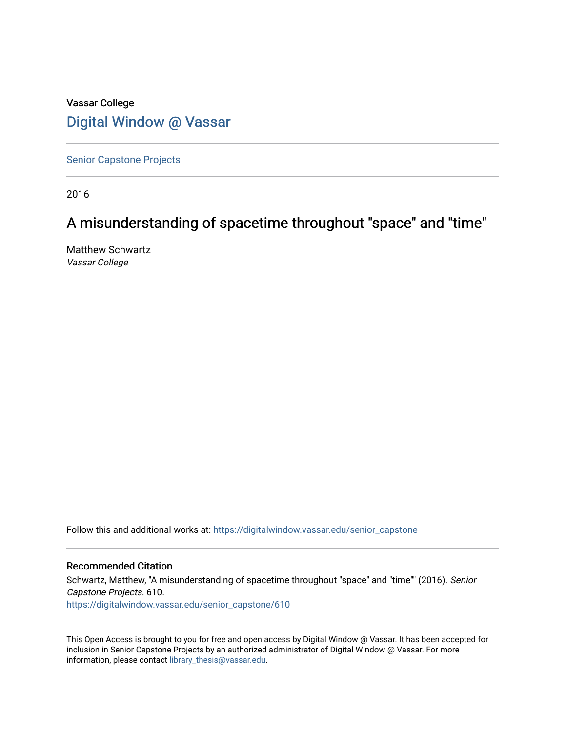# Vassar College [Digital Window @ Vassar](https://digitalwindow.vassar.edu/)

[Senior Capstone Projects](https://digitalwindow.vassar.edu/senior_capstone)

2016

# A misunderstanding of spacetime throughout "space" and "time"

Matthew Schwartz Vassar College

Follow this and additional works at: [https://digitalwindow.vassar.edu/senior\\_capstone](https://digitalwindow.vassar.edu/senior_capstone?utm_source=digitalwindow.vassar.edu%2Fsenior_capstone%2F610&utm_medium=PDF&utm_campaign=PDFCoverPages) 

#### Recommended Citation

Schwartz, Matthew, "A misunderstanding of spacetime throughout "space" and "time"" (2016). Senior Capstone Projects. 610. [https://digitalwindow.vassar.edu/senior\\_capstone/610](https://digitalwindow.vassar.edu/senior_capstone/610?utm_source=digitalwindow.vassar.edu%2Fsenior_capstone%2F610&utm_medium=PDF&utm_campaign=PDFCoverPages) 

This Open Access is brought to you for free and open access by Digital Window @ Vassar. It has been accepted for inclusion in Senior Capstone Projects by an authorized administrator of Digital Window @ Vassar. For more information, please contact [library\\_thesis@vassar.edu](mailto:library_thesis@vassar.edu).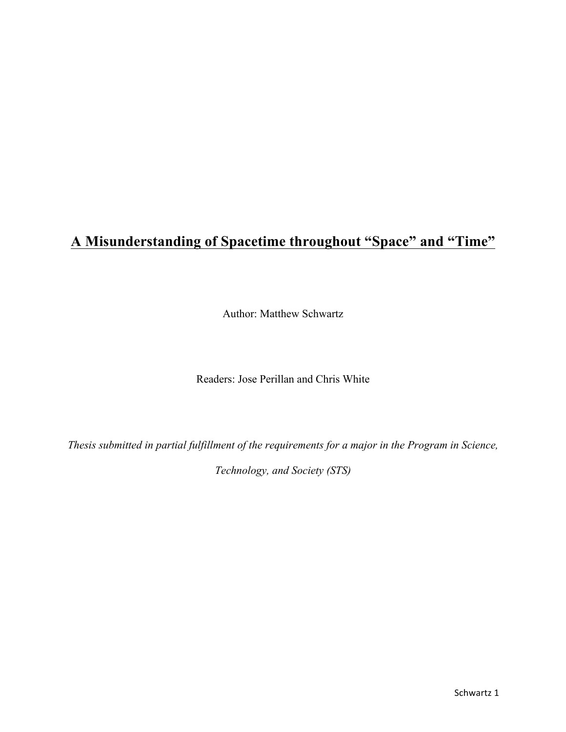# **A Misunderstanding of Spacetime throughout "Space" and "Time"**

Author: Matthew Schwartz

Readers: Jose Perillan and Chris White

*Thesis submitted in partial fulfillment of the requirements for a major in the Program in Science,* 

*Technology, and Society (STS)*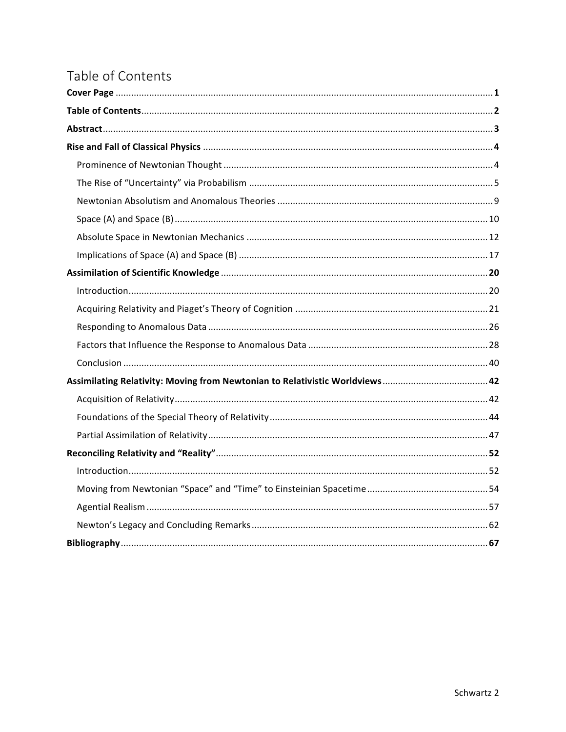# Table of Contents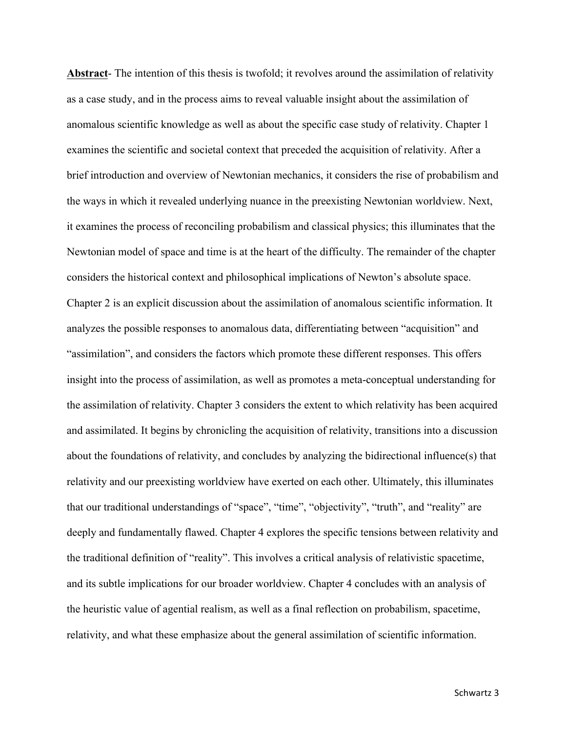**Abstract**- The intention of this thesis is twofold; it revolves around the assimilation of relativity as a case study, and in the process aims to reveal valuable insight about the assimilation of anomalous scientific knowledge as well as about the specific case study of relativity. Chapter 1 examines the scientific and societal context that preceded the acquisition of relativity. After a brief introduction and overview of Newtonian mechanics, it considers the rise of probabilism and the ways in which it revealed underlying nuance in the preexisting Newtonian worldview. Next, it examines the process of reconciling probabilism and classical physics; this illuminates that the Newtonian model of space and time is at the heart of the difficulty. The remainder of the chapter considers the historical context and philosophical implications of Newton's absolute space. Chapter 2 is an explicit discussion about the assimilation of anomalous scientific information. It analyzes the possible responses to anomalous data, differentiating between "acquisition" and "assimilation", and considers the factors which promote these different responses. This offers insight into the process of assimilation, as well as promotes a meta-conceptual understanding for the assimilation of relativity. Chapter 3 considers the extent to which relativity has been acquired and assimilated. It begins by chronicling the acquisition of relativity, transitions into a discussion about the foundations of relativity, and concludes by analyzing the bidirectional influence(s) that relativity and our preexisting worldview have exerted on each other. Ultimately, this illuminates that our traditional understandings of "space", "time", "objectivity", "truth", and "reality" are deeply and fundamentally flawed. Chapter 4 explores the specific tensions between relativity and the traditional definition of "reality". This involves a critical analysis of relativistic spacetime, and its subtle implications for our broader worldview. Chapter 4 concludes with an analysis of the heuristic value of agential realism, as well as a final reflection on probabilism, spacetime, relativity, and what these emphasize about the general assimilation of scientific information.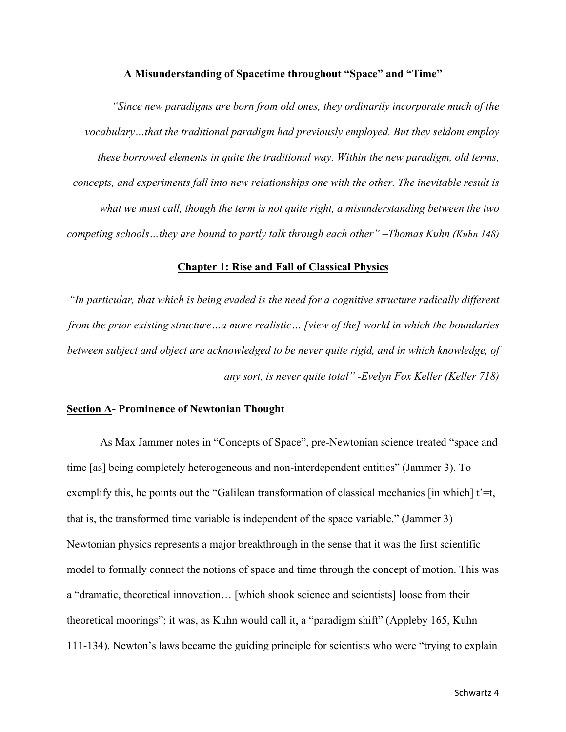#### **A Misunderstanding of Spacetime throughout "Space" and "Time"**

*"Since new paradigms are born from old ones, they ordinarily incorporate much of the vocabulary…that the traditional paradigm had previously employed. But they seldom employ these borrowed elements in quite the traditional way. Within the new paradigm, old terms, concepts, and experiments fall into new relationships one with the other. The inevitable result is what we must call, though the term is not quite right, a misunderstanding between the two competing schools…they are bound to partly talk through each other" –Thomas Kuhn (Kuhn 148)*

### **Chapter 1: Rise and Fall of Classical Physics**

*"In particular, that which is being evaded is the need for a cognitive structure radically different from the prior existing structure…a more realistic… [view of the] world in which the boundaries between subject and object are acknowledged to be never quite rigid, and in which knowledge, of any sort, is never quite total" -Evelyn Fox Keller (Keller 718)*

## **Section A- Prominence of Newtonian Thought**

As Max Jammer notes in "Concepts of Space", pre-Newtonian science treated "space and time [as] being completely heterogeneous and non-interdependent entities" (Jammer 3). To exemplify this, he points out the "Galilean transformation of classical mechanics [in which]  $t' = t$ , that is, the transformed time variable is independent of the space variable." (Jammer 3) Newtonian physics represents a major breakthrough in the sense that it was the first scientific model to formally connect the notions of space and time through the concept of motion. This was a "dramatic, theoretical innovation… [which shook science and scientists] loose from their theoretical moorings"; it was, as Kuhn would call it, a "paradigm shift" (Appleby 165, Kuhn 111-134). Newton's laws became the guiding principle for scientists who were "trying to explain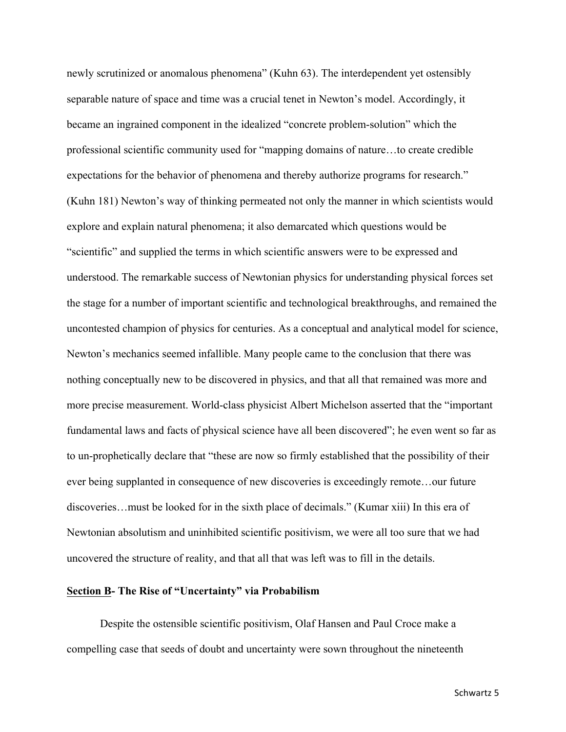newly scrutinized or anomalous phenomena" (Kuhn 63). The interdependent yet ostensibly separable nature of space and time was a crucial tenet in Newton's model. Accordingly, it became an ingrained component in the idealized "concrete problem-solution" which the professional scientific community used for "mapping domains of nature…to create credible expectations for the behavior of phenomena and thereby authorize programs for research." (Kuhn 181) Newton's way of thinking permeated not only the manner in which scientists would explore and explain natural phenomena; it also demarcated which questions would be "scientific" and supplied the terms in which scientific answers were to be expressed and understood. The remarkable success of Newtonian physics for understanding physical forces set the stage for a number of important scientific and technological breakthroughs, and remained the uncontested champion of physics for centuries. As a conceptual and analytical model for science, Newton's mechanics seemed infallible. Many people came to the conclusion that there was nothing conceptually new to be discovered in physics, and that all that remained was more and more precise measurement. World-class physicist Albert Michelson asserted that the "important fundamental laws and facts of physical science have all been discovered"; he even went so far as to un-prophetically declare that "these are now so firmly established that the possibility of their ever being supplanted in consequence of new discoveries is exceedingly remote…our future discoveries…must be looked for in the sixth place of decimals." (Kumar xiii) In this era of Newtonian absolutism and uninhibited scientific positivism, we were all too sure that we had uncovered the structure of reality, and that all that was left was to fill in the details.

## **Section B- The Rise of "Uncertainty" via Probabilism**

Despite the ostensible scientific positivism, Olaf Hansen and Paul Croce make a compelling case that seeds of doubt and uncertainty were sown throughout the nineteenth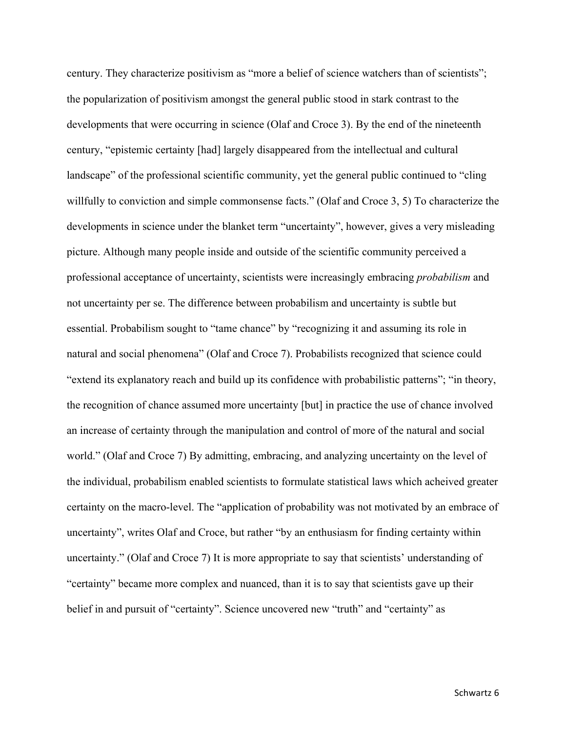century. They characterize positivism as "more a belief of science watchers than of scientists"; the popularization of positivism amongst the general public stood in stark contrast to the developments that were occurring in science (Olaf and Croce 3). By the end of the nineteenth century, "epistemic certainty [had] largely disappeared from the intellectual and cultural landscape" of the professional scientific community, yet the general public continued to "cling willfully to conviction and simple commonsense facts." (Olaf and Croce 3, 5) To characterize the developments in science under the blanket term "uncertainty", however, gives a very misleading picture. Although many people inside and outside of the scientific community perceived a professional acceptance of uncertainty, scientists were increasingly embracing *probabilism* and not uncertainty per se. The difference between probabilism and uncertainty is subtle but essential. Probabilism sought to "tame chance" by "recognizing it and assuming its role in natural and social phenomena" (Olaf and Croce 7). Probabilists recognized that science could "extend its explanatory reach and build up its confidence with probabilistic patterns"; "in theory, the recognition of chance assumed more uncertainty [but] in practice the use of chance involved an increase of certainty through the manipulation and control of more of the natural and social world." (Olaf and Croce 7) By admitting, embracing, and analyzing uncertainty on the level of the individual, probabilism enabled scientists to formulate statistical laws which acheived greater certainty on the macro-level. The "application of probability was not motivated by an embrace of uncertainty", writes Olaf and Croce, but rather "by an enthusiasm for finding certainty within uncertainty." (Olaf and Croce 7) It is more appropriate to say that scientists' understanding of "certainty" became more complex and nuanced, than it is to say that scientists gave up their belief in and pursuit of "certainty". Science uncovered new "truth" and "certainty" as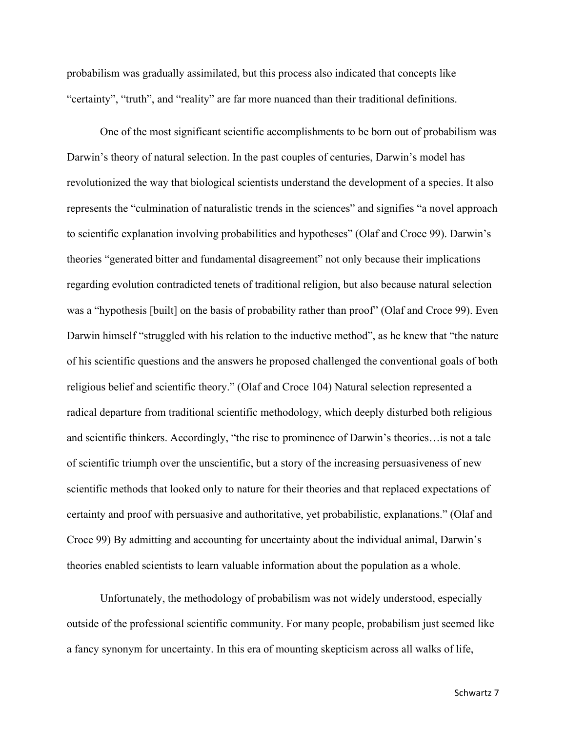probabilism was gradually assimilated, but this process also indicated that concepts like "certainty", "truth", and "reality" are far more nuanced than their traditional definitions.

One of the most significant scientific accomplishments to be born out of probabilism was Darwin's theory of natural selection. In the past couples of centuries, Darwin's model has revolutionized the way that biological scientists understand the development of a species. It also represents the "culmination of naturalistic trends in the sciences" and signifies "a novel approach to scientific explanation involving probabilities and hypotheses" (Olaf and Croce 99). Darwin's theories "generated bitter and fundamental disagreement" not only because their implications regarding evolution contradicted tenets of traditional religion, but also because natural selection was a "hypothesis [built] on the basis of probability rather than proof" (Olaf and Croce 99). Even Darwin himself "struggled with his relation to the inductive method", as he knew that "the nature of his scientific questions and the answers he proposed challenged the conventional goals of both religious belief and scientific theory." (Olaf and Croce 104) Natural selection represented a radical departure from traditional scientific methodology, which deeply disturbed both religious and scientific thinkers. Accordingly, "the rise to prominence of Darwin's theories…is not a tale of scientific triumph over the unscientific, but a story of the increasing persuasiveness of new scientific methods that looked only to nature for their theories and that replaced expectations of certainty and proof with persuasive and authoritative, yet probabilistic, explanations." (Olaf and Croce 99) By admitting and accounting for uncertainty about the individual animal, Darwin's theories enabled scientists to learn valuable information about the population as a whole.

Unfortunately, the methodology of probabilism was not widely understood, especially outside of the professional scientific community. For many people, probabilism just seemed like a fancy synonym for uncertainty. In this era of mounting skepticism across all walks of life,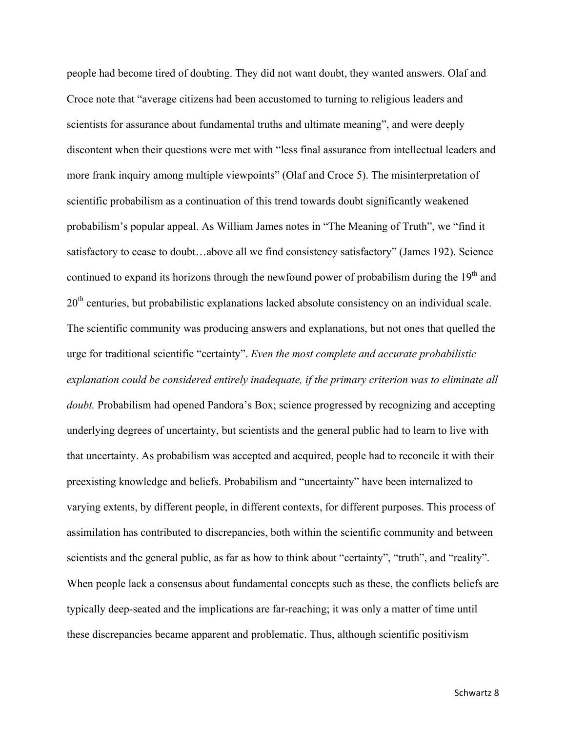people had become tired of doubting. They did not want doubt, they wanted answers. Olaf and Croce note that "average citizens had been accustomed to turning to religious leaders and scientists for assurance about fundamental truths and ultimate meaning", and were deeply discontent when their questions were met with "less final assurance from intellectual leaders and more frank inquiry among multiple viewpoints" (Olaf and Croce 5). The misinterpretation of scientific probabilism as a continuation of this trend towards doubt significantly weakened probabilism's popular appeal. As William James notes in "The Meaning of Truth", we "find it satisfactory to cease to doubt…above all we find consistency satisfactory" (James 192). Science continued to expand its horizons through the newfound power of probabilism during the 19<sup>th</sup> and 20<sup>th</sup> centuries, but probabilistic explanations lacked absolute consistency on an individual scale. The scientific community was producing answers and explanations, but not ones that quelled the urge for traditional scientific "certainty". *Even the most complete and accurate probabilistic explanation could be considered entirely inadequate, if the primary criterion was to eliminate all doubt.* Probabilism had opened Pandora's Box; science progressed by recognizing and accepting underlying degrees of uncertainty, but scientists and the general public had to learn to live with that uncertainty. As probabilism was accepted and acquired, people had to reconcile it with their preexisting knowledge and beliefs. Probabilism and "uncertainty" have been internalized to varying extents, by different people, in different contexts, for different purposes. This process of assimilation has contributed to discrepancies, both within the scientific community and between scientists and the general public, as far as how to think about "certainty", "truth", and "reality". When people lack a consensus about fundamental concepts such as these, the conflicts beliefs are typically deep-seated and the implications are far-reaching; it was only a matter of time until these discrepancies became apparent and problematic. Thus, although scientific positivism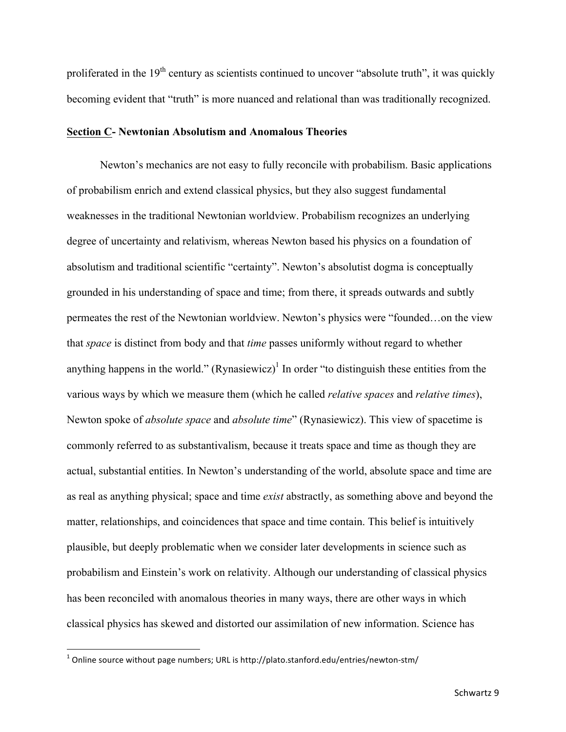proliferated in the  $19<sup>th</sup>$  century as scientists continued to uncover "absolute truth", it was quickly becoming evident that "truth" is more nuanced and relational than was traditionally recognized.

### **Section C- Newtonian Absolutism and Anomalous Theories**

Newton's mechanics are not easy to fully reconcile with probabilism. Basic applications of probabilism enrich and extend classical physics, but they also suggest fundamental weaknesses in the traditional Newtonian worldview. Probabilism recognizes an underlying degree of uncertainty and relativism, whereas Newton based his physics on a foundation of absolutism and traditional scientific "certainty". Newton's absolutist dogma is conceptually grounded in his understanding of space and time; from there, it spreads outwards and subtly permeates the rest of the Newtonian worldview. Newton's physics were "founded…on the view that *space* is distinct from body and that *time* passes uniformly without regard to whether anything happens in the world." (Rynasiewicz)<sup>1</sup> In order "to distinguish these entities from the various ways by which we measure them (which he called *relative spaces* and *relative times*), Newton spoke of *absolute space* and *absolute time*" (Rynasiewicz). This view of spacetime is commonly referred to as substantivalism, because it treats space and time as though they are actual, substantial entities. In Newton's understanding of the world, absolute space and time are as real as anything physical; space and time *exist* abstractly, as something above and beyond the matter, relationships, and coincidences that space and time contain. This belief is intuitively plausible, but deeply problematic when we consider later developments in science such as probabilism and Einstein's work on relativity. Although our understanding of classical physics has been reconciled with anomalous theories in many ways, there are other ways in which classical physics has skewed and distorted our assimilation of new information. Science has

 

 $^1$  Online source without page numbers; URL is http://plato.stanford.edu/entries/newton-stm/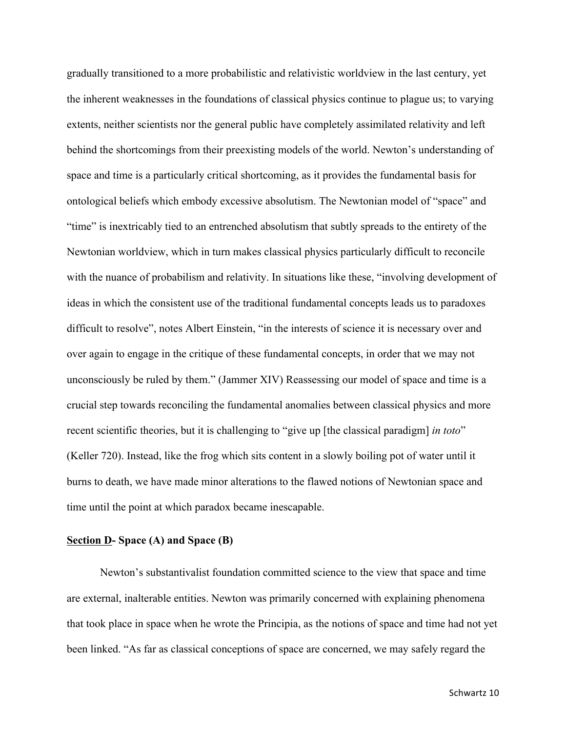gradually transitioned to a more probabilistic and relativistic worldview in the last century, yet the inherent weaknesses in the foundations of classical physics continue to plague us; to varying extents, neither scientists nor the general public have completely assimilated relativity and left behind the shortcomings from their preexisting models of the world. Newton's understanding of space and time is a particularly critical shortcoming, as it provides the fundamental basis for ontological beliefs which embody excessive absolutism. The Newtonian model of "space" and "time" is inextricably tied to an entrenched absolutism that subtly spreads to the entirety of the Newtonian worldview, which in turn makes classical physics particularly difficult to reconcile with the nuance of probabilism and relativity. In situations like these, "involving development of ideas in which the consistent use of the traditional fundamental concepts leads us to paradoxes difficult to resolve", notes Albert Einstein, "in the interests of science it is necessary over and over again to engage in the critique of these fundamental concepts, in order that we may not unconsciously be ruled by them." (Jammer XIV) Reassessing our model of space and time is a crucial step towards reconciling the fundamental anomalies between classical physics and more recent scientific theories, but it is challenging to "give up [the classical paradigm] *in toto*" (Keller 720). Instead, like the frog which sits content in a slowly boiling pot of water until it burns to death, we have made minor alterations to the flawed notions of Newtonian space and time until the point at which paradox became inescapable.

#### **Section D- Space (A) and Space (B)**

Newton's substantivalist foundation committed science to the view that space and time are external, inalterable entities. Newton was primarily concerned with explaining phenomena that took place in space when he wrote the Principia, as the notions of space and time had not yet been linked. "As far as classical conceptions of space are concerned, we may safely regard the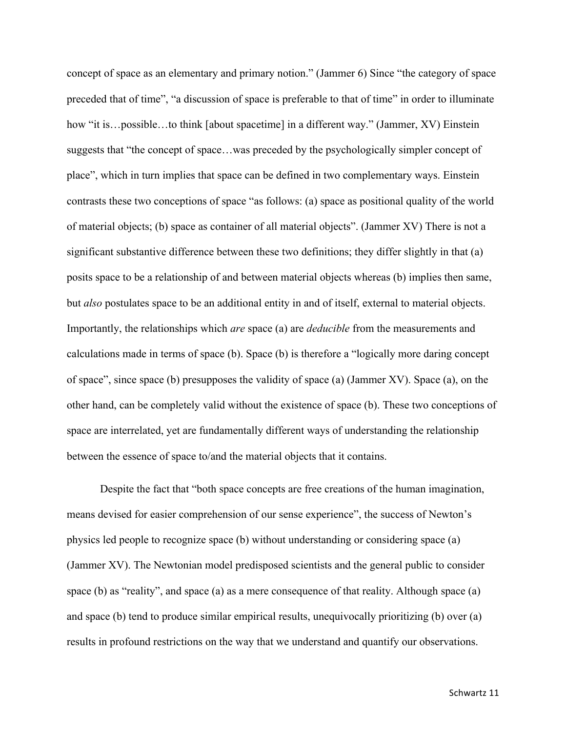concept of space as an elementary and primary notion." (Jammer 6) Since "the category of space preceded that of time", "a discussion of space is preferable to that of time" in order to illuminate how "it is...possible...to think [about spacetime] in a different way." (Jammer, XV) Einstein suggests that "the concept of space…was preceded by the psychologically simpler concept of place", which in turn implies that space can be defined in two complementary ways. Einstein contrasts these two conceptions of space "as follows: (a) space as positional quality of the world of material objects; (b) space as container of all material objects". (Jammer XV) There is not a significant substantive difference between these two definitions; they differ slightly in that (a) posits space to be a relationship of and between material objects whereas (b) implies then same, but *also* postulates space to be an additional entity in and of itself, external to material objects. Importantly, the relationships which *are* space (a) are *deducible* from the measurements and calculations made in terms of space (b). Space (b) is therefore a "logically more daring concept of space", since space (b) presupposes the validity of space (a) (Jammer XV). Space (a), on the other hand, can be completely valid without the existence of space (b). These two conceptions of space are interrelated, yet are fundamentally different ways of understanding the relationship between the essence of space to/and the material objects that it contains.

Despite the fact that "both space concepts are free creations of the human imagination, means devised for easier comprehension of our sense experience", the success of Newton's physics led people to recognize space (b) without understanding or considering space (a) (Jammer XV). The Newtonian model predisposed scientists and the general public to consider space (b) as "reality", and space (a) as a mere consequence of that reality. Although space (a) and space (b) tend to produce similar empirical results, unequivocally prioritizing (b) over (a) results in profound restrictions on the way that we understand and quantify our observations.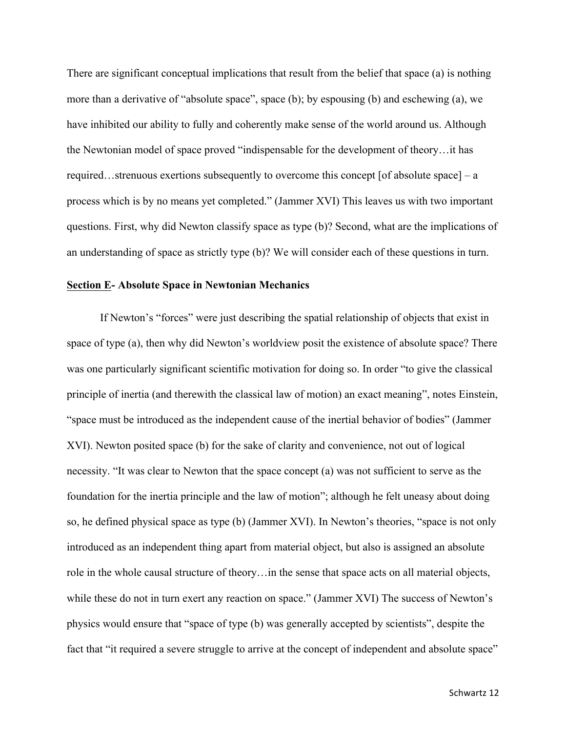There are significant conceptual implications that result from the belief that space (a) is nothing more than a derivative of "absolute space", space (b); by espousing (b) and eschewing (a), we have inhibited our ability to fully and coherently make sense of the world around us. Although the Newtonian model of space proved "indispensable for the development of theory…it has required…strenuous exertions subsequently to overcome this concept [of absolute space] – a process which is by no means yet completed." (Jammer XVI) This leaves us with two important questions. First, why did Newton classify space as type (b)? Second, what are the implications of an understanding of space as strictly type (b)? We will consider each of these questions in turn.

## **Section E- Absolute Space in Newtonian Mechanics**

If Newton's "forces" were just describing the spatial relationship of objects that exist in space of type (a), then why did Newton's worldview posit the existence of absolute space? There was one particularly significant scientific motivation for doing so. In order "to give the classical principle of inertia (and therewith the classical law of motion) an exact meaning", notes Einstein, "space must be introduced as the independent cause of the inertial behavior of bodies" (Jammer XVI). Newton posited space (b) for the sake of clarity and convenience, not out of logical necessity. "It was clear to Newton that the space concept (a) was not sufficient to serve as the foundation for the inertia principle and the law of motion"; although he felt uneasy about doing so, he defined physical space as type (b) (Jammer XVI). In Newton's theories, "space is not only introduced as an independent thing apart from material object, but also is assigned an absolute role in the whole causal structure of theory…in the sense that space acts on all material objects, while these do not in turn exert any reaction on space." (Jammer XVI) The success of Newton's physics would ensure that "space of type (b) was generally accepted by scientists", despite the fact that "it required a severe struggle to arrive at the concept of independent and absolute space"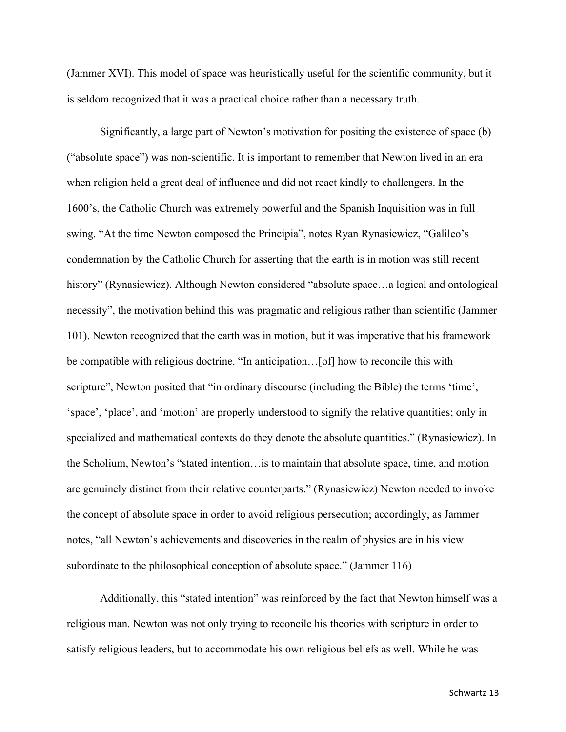(Jammer XVI). This model of space was heuristically useful for the scientific community, but it is seldom recognized that it was a practical choice rather than a necessary truth.

Significantly, a large part of Newton's motivation for positing the existence of space (b) ("absolute space") was non-scientific. It is important to remember that Newton lived in an era when religion held a great deal of influence and did not react kindly to challengers. In the 1600's, the Catholic Church was extremely powerful and the Spanish Inquisition was in full swing. "At the time Newton composed the Principia", notes Ryan Rynasiewicz, "Galileo's condemnation by the Catholic Church for asserting that the earth is in motion was still recent history" (Rynasiewicz). Although Newton considered "absolute space...a logical and ontological necessity", the motivation behind this was pragmatic and religious rather than scientific (Jammer 101). Newton recognized that the earth was in motion, but it was imperative that his framework be compatible with religious doctrine. "In anticipation…[of] how to reconcile this with scripture", Newton posited that "in ordinary discourse (including the Bible) the terms 'time', 'space', 'place', and 'motion' are properly understood to signify the relative quantities; only in specialized and mathematical contexts do they denote the absolute quantities." (Rynasiewicz). In the Scholium, Newton's "stated intention…is to maintain that absolute space, time, and motion are genuinely distinct from their relative counterparts." (Rynasiewicz) Newton needed to invoke the concept of absolute space in order to avoid religious persecution; accordingly, as Jammer notes, "all Newton's achievements and discoveries in the realm of physics are in his view subordinate to the philosophical conception of absolute space." (Jammer 116)

Additionally, this "stated intention" was reinforced by the fact that Newton himself was a religious man. Newton was not only trying to reconcile his theories with scripture in order to satisfy religious leaders, but to accommodate his own religious beliefs as well. While he was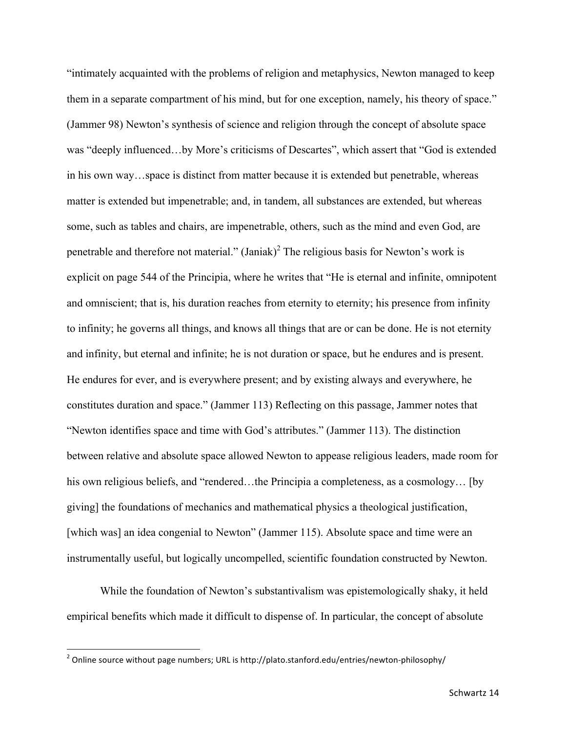"intimately acquainted with the problems of religion and metaphysics, Newton managed to keep them in a separate compartment of his mind, but for one exception, namely, his theory of space." (Jammer 98) Newton's synthesis of science and religion through the concept of absolute space was "deeply influenced…by More's criticisms of Descartes", which assert that "God is extended in his own way…space is distinct from matter because it is extended but penetrable, whereas matter is extended but impenetrable; and, in tandem, all substances are extended, but whereas some, such as tables and chairs, are impenetrable, others, such as the mind and even God, are penetrable and therefore not material." (Janiak)<sup>2</sup> The religious basis for Newton's work is explicit on page 544 of the Principia, where he writes that "He is eternal and infinite, omnipotent and omniscient; that is, his duration reaches from eternity to eternity; his presence from infinity to infinity; he governs all things, and knows all things that are or can be done. He is not eternity and infinity, but eternal and infinite; he is not duration or space, but he endures and is present. He endures for ever, and is everywhere present; and by existing always and everywhere, he constitutes duration and space." (Jammer 113) Reflecting on this passage, Jammer notes that "Newton identifies space and time with God's attributes." (Jammer 113). The distinction between relative and absolute space allowed Newton to appease religious leaders, made room for his own religious beliefs, and "rendered...the Principia a completeness, as a cosmology... [by giving] the foundations of mechanics and mathematical physics a theological justification, [which was] an idea congenial to Newton" (Jammer 115). Absolute space and time were an instrumentally useful, but logically uncompelled, scientific foundation constructed by Newton.

While the foundation of Newton's substantivalism was epistemologically shaky, it held empirical benefits which made it difficult to dispense of. In particular, the concept of absolute

 

<sup>&</sup>lt;sup>2</sup> Online source without page numbers; URL is http://plato.stanford.edu/entries/newton-philosophy/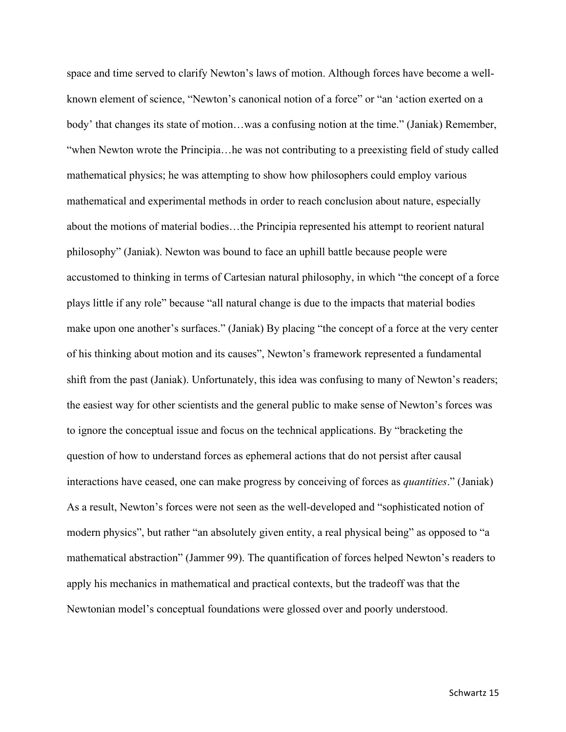space and time served to clarify Newton's laws of motion. Although forces have become a wellknown element of science, "Newton's canonical notion of a force" or "an 'action exerted on a body' that changes its state of motion…was a confusing notion at the time." (Janiak) Remember, "when Newton wrote the Principia…he was not contributing to a preexisting field of study called mathematical physics; he was attempting to show how philosophers could employ various mathematical and experimental methods in order to reach conclusion about nature, especially about the motions of material bodies…the Principia represented his attempt to reorient natural philosophy" (Janiak). Newton was bound to face an uphill battle because people were accustomed to thinking in terms of Cartesian natural philosophy, in which "the concept of a force plays little if any role" because "all natural change is due to the impacts that material bodies make upon one another's surfaces." (Janiak) By placing "the concept of a force at the very center of his thinking about motion and its causes", Newton's framework represented a fundamental shift from the past (Janiak). Unfortunately, this idea was confusing to many of Newton's readers; the easiest way for other scientists and the general public to make sense of Newton's forces was to ignore the conceptual issue and focus on the technical applications. By "bracketing the question of how to understand forces as ephemeral actions that do not persist after causal interactions have ceased, one can make progress by conceiving of forces as *quantities*." (Janiak) As a result, Newton's forces were not seen as the well-developed and "sophisticated notion of modern physics", but rather "an absolutely given entity, a real physical being" as opposed to "a mathematical abstraction" (Jammer 99). The quantification of forces helped Newton's readers to apply his mechanics in mathematical and practical contexts, but the tradeoff was that the Newtonian model's conceptual foundations were glossed over and poorly understood.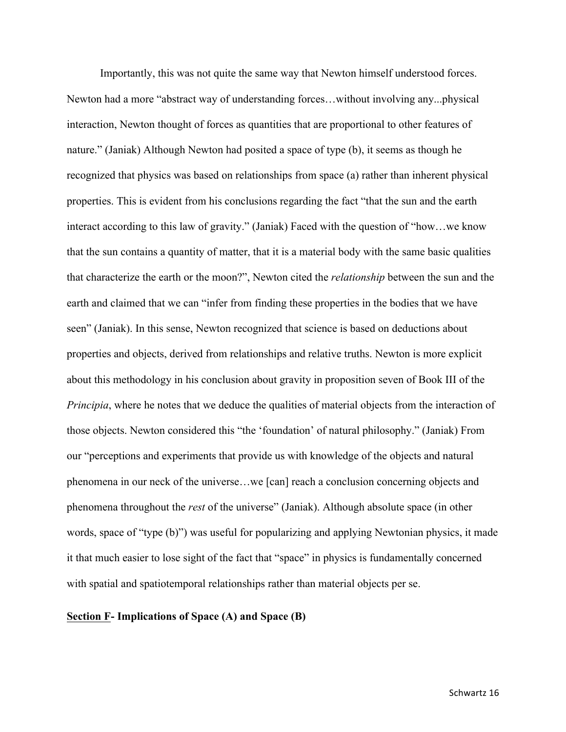Importantly, this was not quite the same way that Newton himself understood forces. Newton had a more "abstract way of understanding forces…without involving any...physical interaction, Newton thought of forces as quantities that are proportional to other features of nature." (Janiak) Although Newton had posited a space of type (b), it seems as though he recognized that physics was based on relationships from space (a) rather than inherent physical properties. This is evident from his conclusions regarding the fact "that the sun and the earth interact according to this law of gravity." (Janiak) Faced with the question of "how…we know that the sun contains a quantity of matter, that it is a material body with the same basic qualities that characterize the earth or the moon?", Newton cited the *relationship* between the sun and the earth and claimed that we can "infer from finding these properties in the bodies that we have seen" (Janiak). In this sense, Newton recognized that science is based on deductions about properties and objects, derived from relationships and relative truths. Newton is more explicit about this methodology in his conclusion about gravity in proposition seven of Book III of the *Principia*, where he notes that we deduce the qualities of material objects from the interaction of those objects. Newton considered this "the 'foundation' of natural philosophy." (Janiak) From our "perceptions and experiments that provide us with knowledge of the objects and natural phenomena in our neck of the universe…we [can] reach a conclusion concerning objects and phenomena throughout the *rest* of the universe" (Janiak). Although absolute space (in other words, space of "type (b)") was useful for popularizing and applying Newtonian physics, it made it that much easier to lose sight of the fact that "space" in physics is fundamentally concerned with spatial and spatiotemporal relationships rather than material objects per se.

## **Section F- Implications of Space (A) and Space (B)**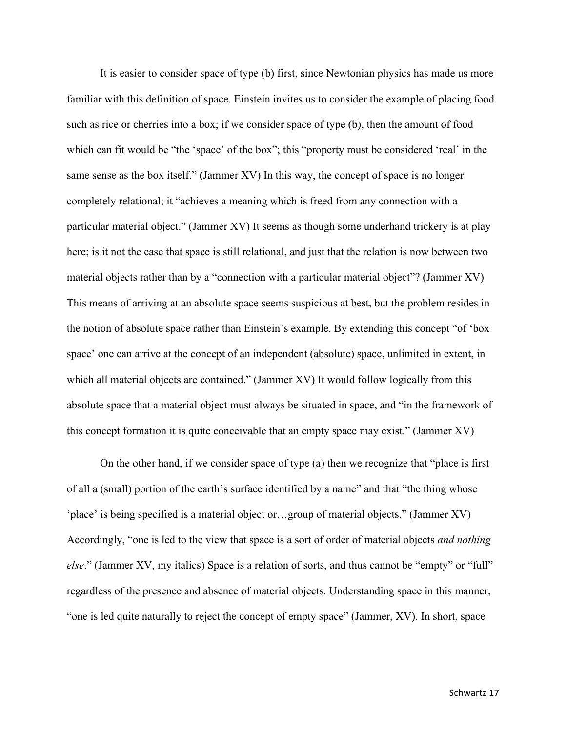It is easier to consider space of type (b) first, since Newtonian physics has made us more familiar with this definition of space. Einstein invites us to consider the example of placing food such as rice or cherries into a box; if we consider space of type (b), then the amount of food which can fit would be "the 'space' of the box"; this "property must be considered 'real' in the same sense as the box itself." (Jammer XV) In this way, the concept of space is no longer completely relational; it "achieves a meaning which is freed from any connection with a particular material object." (Jammer XV) It seems as though some underhand trickery is at play here; is it not the case that space is still relational, and just that the relation is now between two material objects rather than by a "connection with a particular material object"? (Jammer XV) This means of arriving at an absolute space seems suspicious at best, but the problem resides in the notion of absolute space rather than Einstein's example. By extending this concept "of 'box space' one can arrive at the concept of an independent (absolute) space, unlimited in extent, in which all material objects are contained." (Jammer XV) It would follow logically from this absolute space that a material object must always be situated in space, and "in the framework of this concept formation it is quite conceivable that an empty space may exist." (Jammer XV)

On the other hand, if we consider space of type (a) then we recognize that "place is first of all a (small) portion of the earth's surface identified by a name" and that "the thing whose 'place' is being specified is a material object or…group of material objects." (Jammer XV) Accordingly, "one is led to the view that space is a sort of order of material objects *and nothing else.*" (Jammer XV, my italics) Space is a relation of sorts, and thus cannot be "empty" or "full" regardless of the presence and absence of material objects. Understanding space in this manner, "one is led quite naturally to reject the concept of empty space" (Jammer, XV). In short, space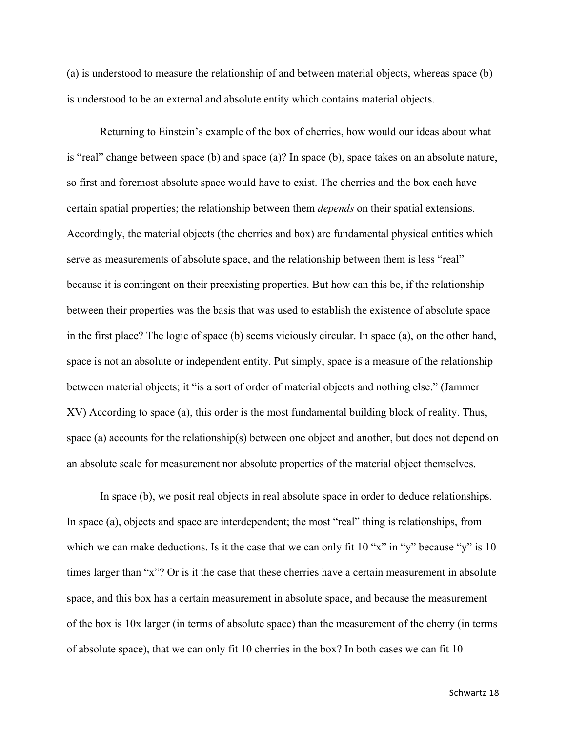(a) is understood to measure the relationship of and between material objects, whereas space (b) is understood to be an external and absolute entity which contains material objects.

Returning to Einstein's example of the box of cherries, how would our ideas about what is "real" change between space (b) and space (a)? In space (b), space takes on an absolute nature, so first and foremost absolute space would have to exist. The cherries and the box each have certain spatial properties; the relationship between them *depends* on their spatial extensions. Accordingly, the material objects (the cherries and box) are fundamental physical entities which serve as measurements of absolute space, and the relationship between them is less "real" because it is contingent on their preexisting properties. But how can this be, if the relationship between their properties was the basis that was used to establish the existence of absolute space in the first place? The logic of space (b) seems viciously circular. In space (a), on the other hand, space is not an absolute or independent entity. Put simply, space is a measure of the relationship between material objects; it "is a sort of order of material objects and nothing else." (Jammer XV) According to space (a), this order is the most fundamental building block of reality. Thus, space (a) accounts for the relationship(s) between one object and another, but does not depend on an absolute scale for measurement nor absolute properties of the material object themselves.

In space (b), we posit real objects in real absolute space in order to deduce relationships. In space (a), objects and space are interdependent; the most "real" thing is relationships, from which we can make deductions. Is it the case that we can only fit 10 "x" in "y" because "y" is 10 times larger than "x"? Or is it the case that these cherries have a certain measurement in absolute space, and this box has a certain measurement in absolute space, and because the measurement of the box is 10x larger (in terms of absolute space) than the measurement of the cherry (in terms of absolute space), that we can only fit 10 cherries in the box? In both cases we can fit 10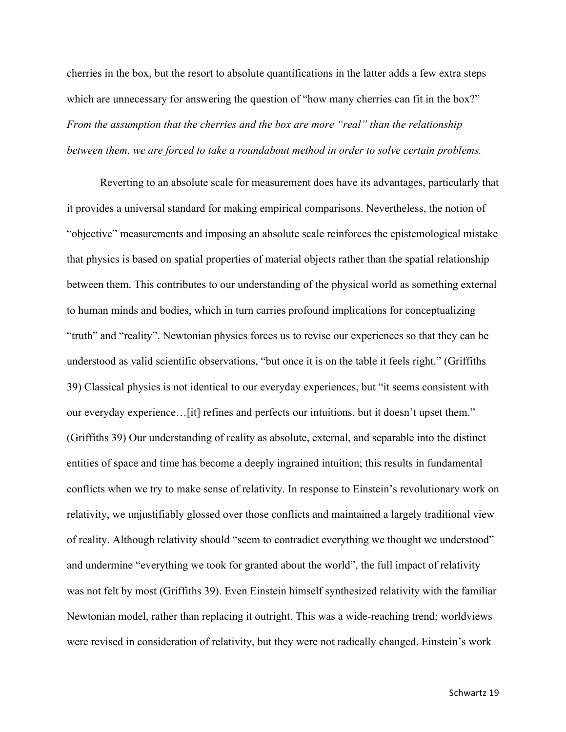cherries in the box, but the resort to absolute quantifications in the latter adds a few extra steps which are unnecessary for answering the question of "how many cherries can fit in the box?" *From the assumption that the cherries and the box are more "real" than the relationship between them, we are forced to take a roundabout method in order to solve certain problems.*

Reverting to an absolute scale for measurement does have its advantages, particularly that it provides a universal standard for making empirical comparisons. Nevertheless, the notion of "objective" measurements and imposing an absolute scale reinforces the epistemological mistake that physics is based on spatial properties of material objects rather than the spatial relationship between them. This contributes to our understanding of the physical world as something external to human minds and bodies, which in turn carries profound implications for conceptualizing "truth" and "reality". Newtonian physics forces us to revise our experiences so that they can be understood as valid scientific observations, "but once it is on the table it feels right." (Griffiths 39) Classical physics is not identical to our everyday experiences, but "it seems consistent with our everyday experience…[it] refines and perfects our intuitions, but it doesn't upset them." (Griffiths 39) Our understanding of reality as absolute, external, and separable into the distinct entities of space and time has become a deeply ingrained intuition; this results in fundamental conflicts when we try to make sense of relativity. In response to Einstein's revolutionary work on relativity, we unjustifiably glossed over those conflicts and maintained a largely traditional view of reality. Although relativity should "seem to contradict everything we thought we understood" and undermine "everything we took for granted about the world", the full impact of relativity was not felt by most (Griffiths 39). Even Einstein himself synthesized relativity with the familiar Newtonian model, rather than replacing it outright. This was a wide-reaching trend; worldviews were revised in consideration of relativity, but they were not radically changed. Einstein's work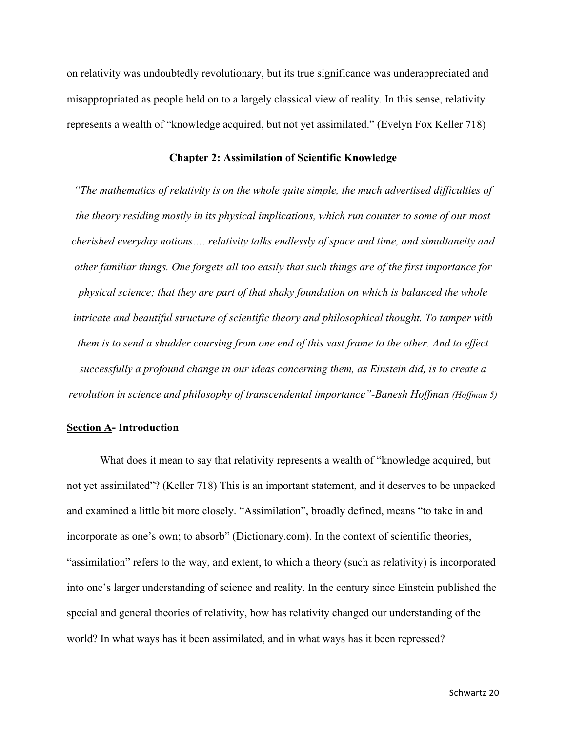on relativity was undoubtedly revolutionary, but its true significance was underappreciated and misappropriated as people held on to a largely classical view of reality. In this sense, relativity represents a wealth of "knowledge acquired, but not yet assimilated." (Evelyn Fox Keller 718)

### **Chapter 2: Assimilation of Scientific Knowledge**

*"The mathematics of relativity is on the whole quite simple, the much advertised difficulties of the theory residing mostly in its physical implications, which run counter to some of our most cherished everyday notions…. relativity talks endlessly of space and time, and simultaneity and other familiar things. One forgets all too easily that such things are of the first importance for physical science; that they are part of that shaky foundation on which is balanced the whole intricate and beautiful structure of scientific theory and philosophical thought. To tamper with them is to send a shudder coursing from one end of this vast frame to the other. And to effect successfully a profound change in our ideas concerning them, as Einstein did, is to create a revolution in science and philosophy of transcendental importance"-Banesh Hoffman (Hoffman 5)*

### **Section A- Introduction**

What does it mean to say that relativity represents a wealth of "knowledge acquired, but not yet assimilated"? (Keller 718) This is an important statement, and it deserves to be unpacked and examined a little bit more closely. "Assimilation", broadly defined, means "to take in and incorporate as one's own; to absorb" (Dictionary.com). In the context of scientific theories, "assimilation" refers to the way, and extent, to which a theory (such as relativity) is incorporated into one's larger understanding of science and reality. In the century since Einstein published the special and general theories of relativity, how has relativity changed our understanding of the world? In what ways has it been assimilated, and in what ways has it been repressed?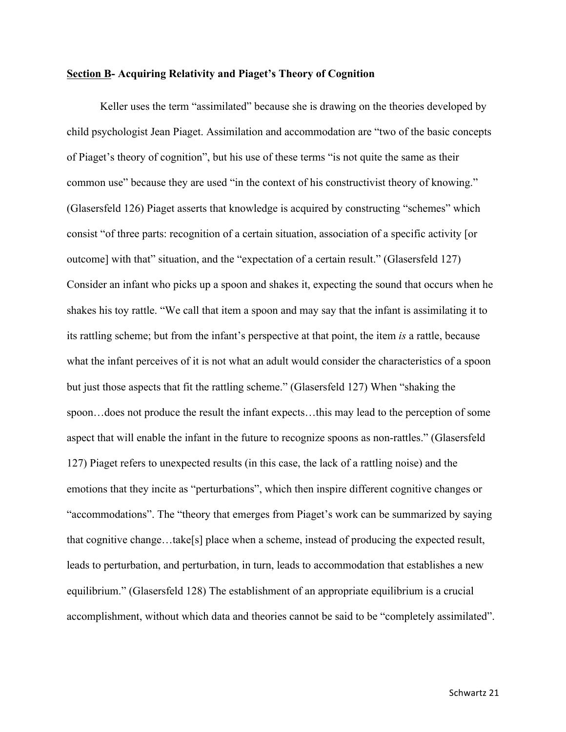### **Section B- Acquiring Relativity and Piaget's Theory of Cognition**

Keller uses the term "assimilated" because she is drawing on the theories developed by child psychologist Jean Piaget. Assimilation and accommodation are "two of the basic concepts of Piaget's theory of cognition", but his use of these terms "is not quite the same as their common use" because they are used "in the context of his constructivist theory of knowing." (Glasersfeld 126) Piaget asserts that knowledge is acquired by constructing "schemes" which consist "of three parts: recognition of a certain situation, association of a specific activity [or outcome] with that" situation, and the "expectation of a certain result." (Glasersfeld 127) Consider an infant who picks up a spoon and shakes it, expecting the sound that occurs when he shakes his toy rattle. "We call that item a spoon and may say that the infant is assimilating it to its rattling scheme; but from the infant's perspective at that point, the item *is* a rattle, because what the infant perceives of it is not what an adult would consider the characteristics of a spoon but just those aspects that fit the rattling scheme." (Glasersfeld 127) When "shaking the spoon…does not produce the result the infant expects…this may lead to the perception of some aspect that will enable the infant in the future to recognize spoons as non-rattles." (Glasersfeld 127) Piaget refers to unexpected results (in this case, the lack of a rattling noise) and the emotions that they incite as "perturbations", which then inspire different cognitive changes or "accommodations". The "theory that emerges from Piaget's work can be summarized by saying that cognitive change…take[s] place when a scheme, instead of producing the expected result, leads to perturbation, and perturbation, in turn, leads to accommodation that establishes a new equilibrium." (Glasersfeld 128) The establishment of an appropriate equilibrium is a crucial accomplishment, without which data and theories cannot be said to be "completely assimilated".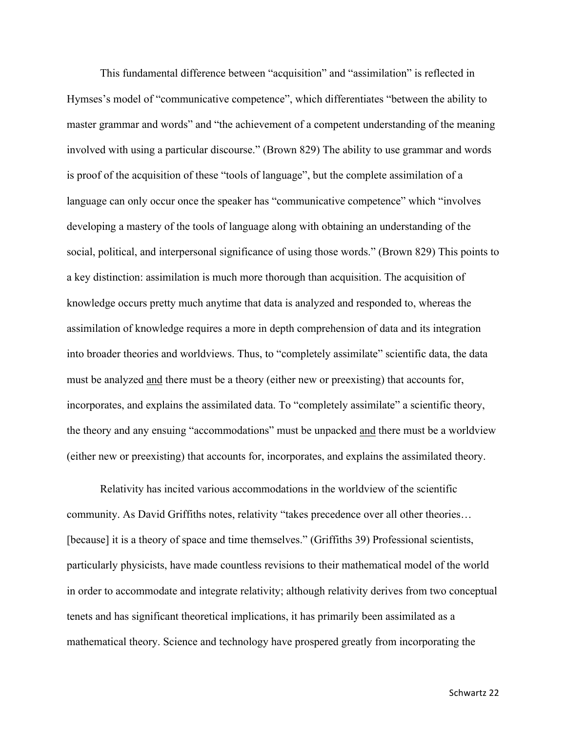This fundamental difference between "acquisition" and "assimilation" is reflected in Hymses's model of "communicative competence", which differentiates "between the ability to master grammar and words" and "the achievement of a competent understanding of the meaning involved with using a particular discourse." (Brown 829) The ability to use grammar and words is proof of the acquisition of these "tools of language", but the complete assimilation of a language can only occur once the speaker has "communicative competence" which "involves developing a mastery of the tools of language along with obtaining an understanding of the social, political, and interpersonal significance of using those words." (Brown 829) This points to a key distinction: assimilation is much more thorough than acquisition. The acquisition of knowledge occurs pretty much anytime that data is analyzed and responded to, whereas the assimilation of knowledge requires a more in depth comprehension of data and its integration into broader theories and worldviews. Thus, to "completely assimilate" scientific data, the data must be analyzed and there must be a theory (either new or preexisting) that accounts for, incorporates, and explains the assimilated data. To "completely assimilate" a scientific theory, the theory and any ensuing "accommodations" must be unpacked and there must be a worldview (either new or preexisting) that accounts for, incorporates, and explains the assimilated theory.

Relativity has incited various accommodations in the worldview of the scientific community. As David Griffiths notes, relativity "takes precedence over all other theories… [because] it is a theory of space and time themselves." (Griffiths 39) Professional scientists, particularly physicists, have made countless revisions to their mathematical model of the world in order to accommodate and integrate relativity; although relativity derives from two conceptual tenets and has significant theoretical implications, it has primarily been assimilated as a mathematical theory. Science and technology have prospered greatly from incorporating the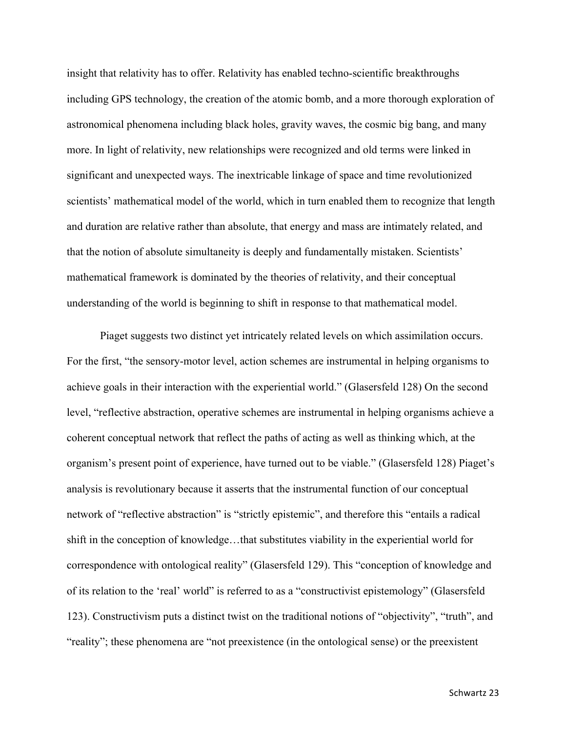insight that relativity has to offer. Relativity has enabled techno-scientific breakthroughs including GPS technology, the creation of the atomic bomb, and a more thorough exploration of astronomical phenomena including black holes, gravity waves, the cosmic big bang, and many more. In light of relativity, new relationships were recognized and old terms were linked in significant and unexpected ways. The inextricable linkage of space and time revolutionized scientists' mathematical model of the world, which in turn enabled them to recognize that length and duration are relative rather than absolute, that energy and mass are intimately related, and that the notion of absolute simultaneity is deeply and fundamentally mistaken. Scientists' mathematical framework is dominated by the theories of relativity, and their conceptual understanding of the world is beginning to shift in response to that mathematical model.

Piaget suggests two distinct yet intricately related levels on which assimilation occurs. For the first, "the sensory-motor level, action schemes are instrumental in helping organisms to achieve goals in their interaction with the experiential world." (Glasersfeld 128) On the second level, "reflective abstraction, operative schemes are instrumental in helping organisms achieve a coherent conceptual network that reflect the paths of acting as well as thinking which, at the organism's present point of experience, have turned out to be viable." (Glasersfeld 128) Piaget's analysis is revolutionary because it asserts that the instrumental function of our conceptual network of "reflective abstraction" is "strictly epistemic", and therefore this "entails a radical shift in the conception of knowledge…that substitutes viability in the experiential world for correspondence with ontological reality" (Glasersfeld 129). This "conception of knowledge and of its relation to the 'real' world" is referred to as a "constructivist epistemology" (Glasersfeld 123). Constructivism puts a distinct twist on the traditional notions of "objectivity", "truth", and "reality"; these phenomena are "not preexistence (in the ontological sense) or the preexistent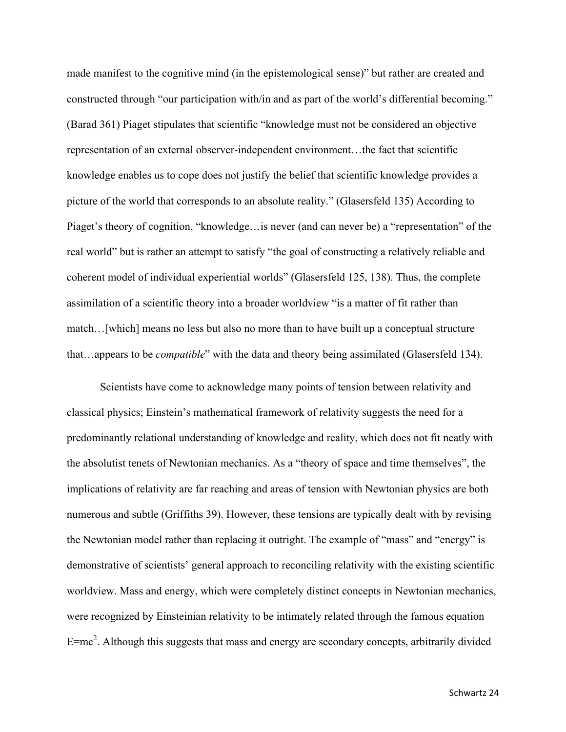made manifest to the cognitive mind (in the epistemological sense)" but rather are created and constructed through "our participation with/in and as part of the world's differential becoming." (Barad 361) Piaget stipulates that scientific "knowledge must not be considered an objective representation of an external observer-independent environment…the fact that scientific knowledge enables us to cope does not justify the belief that scientific knowledge provides a picture of the world that corresponds to an absolute reality." (Glasersfeld 135) According to Piaget's theory of cognition, "knowledge…is never (and can never be) a "representation" of the real world" but is rather an attempt to satisfy "the goal of constructing a relatively reliable and coherent model of individual experiential worlds" (Glasersfeld 125, 138). Thus, the complete assimilation of a scientific theory into a broader worldview "is a matter of fit rather than match…[which] means no less but also no more than to have built up a conceptual structure that…appears to be *compatible*" with the data and theory being assimilated (Glasersfeld 134).

Scientists have come to acknowledge many points of tension between relativity and classical physics; Einstein's mathematical framework of relativity suggests the need for a predominantly relational understanding of knowledge and reality, which does not fit neatly with the absolutist tenets of Newtonian mechanics. As a "theory of space and time themselves", the implications of relativity are far reaching and areas of tension with Newtonian physics are both numerous and subtle (Griffiths 39). However, these tensions are typically dealt with by revising the Newtonian model rather than replacing it outright. The example of "mass" and "energy" is demonstrative of scientists' general approach to reconciling relativity with the existing scientific worldview. Mass and energy, which were completely distinct concepts in Newtonian mechanics, were recognized by Einsteinian relativity to be intimately related through the famous equation  $E=mc^2$ . Although this suggests that mass and energy are secondary concepts, arbitrarily divided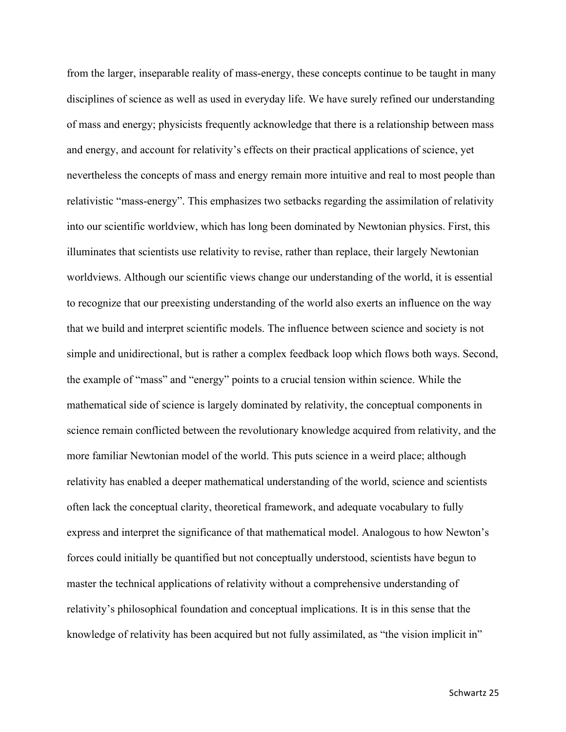from the larger, inseparable reality of mass-energy, these concepts continue to be taught in many disciplines of science as well as used in everyday life. We have surely refined our understanding of mass and energy; physicists frequently acknowledge that there is a relationship between mass and energy, and account for relativity's effects on their practical applications of science, yet nevertheless the concepts of mass and energy remain more intuitive and real to most people than relativistic "mass-energy". This emphasizes two setbacks regarding the assimilation of relativity into our scientific worldview, which has long been dominated by Newtonian physics. First, this illuminates that scientists use relativity to revise, rather than replace, their largely Newtonian worldviews. Although our scientific views change our understanding of the world, it is essential to recognize that our preexisting understanding of the world also exerts an influence on the way that we build and interpret scientific models. The influence between science and society is not simple and unidirectional, but is rather a complex feedback loop which flows both ways. Second, the example of "mass" and "energy" points to a crucial tension within science. While the mathematical side of science is largely dominated by relativity, the conceptual components in science remain conflicted between the revolutionary knowledge acquired from relativity, and the more familiar Newtonian model of the world. This puts science in a weird place; although relativity has enabled a deeper mathematical understanding of the world, science and scientists often lack the conceptual clarity, theoretical framework, and adequate vocabulary to fully express and interpret the significance of that mathematical model. Analogous to how Newton's forces could initially be quantified but not conceptually understood, scientists have begun to master the technical applications of relativity without a comprehensive understanding of relativity's philosophical foundation and conceptual implications. It is in this sense that the knowledge of relativity has been acquired but not fully assimilated, as "the vision implicit in"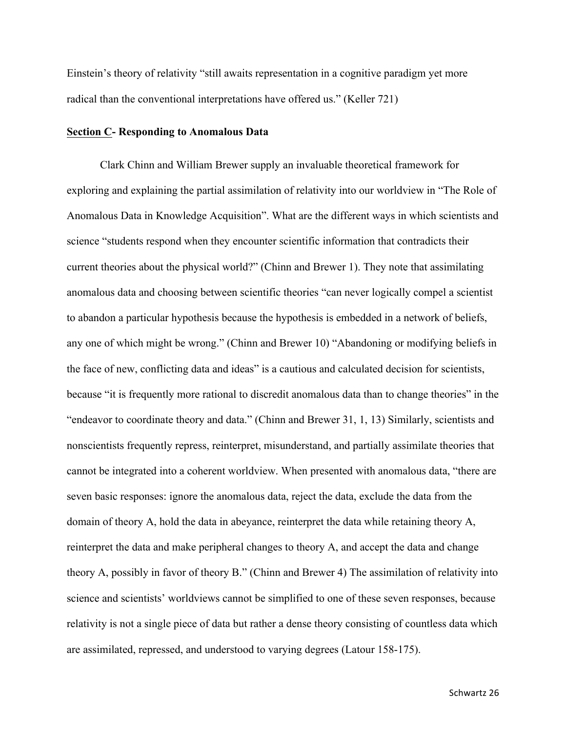Einstein's theory of relativity "still awaits representation in a cognitive paradigm yet more radical than the conventional interpretations have offered us." (Keller 721)

### **Section C- Responding to Anomalous Data**

Clark Chinn and William Brewer supply an invaluable theoretical framework for exploring and explaining the partial assimilation of relativity into our worldview in "The Role of Anomalous Data in Knowledge Acquisition". What are the different ways in which scientists and science "students respond when they encounter scientific information that contradicts their current theories about the physical world?" (Chinn and Brewer 1). They note that assimilating anomalous data and choosing between scientific theories "can never logically compel a scientist to abandon a particular hypothesis because the hypothesis is embedded in a network of beliefs, any one of which might be wrong." (Chinn and Brewer 10) "Abandoning or modifying beliefs in the face of new, conflicting data and ideas" is a cautious and calculated decision for scientists, because "it is frequently more rational to discredit anomalous data than to change theories" in the "endeavor to coordinate theory and data." (Chinn and Brewer 31, 1, 13) Similarly, scientists and nonscientists frequently repress, reinterpret, misunderstand, and partially assimilate theories that cannot be integrated into a coherent worldview. When presented with anomalous data, "there are seven basic responses: ignore the anomalous data, reject the data, exclude the data from the domain of theory A, hold the data in abeyance, reinterpret the data while retaining theory A, reinterpret the data and make peripheral changes to theory A, and accept the data and change theory A, possibly in favor of theory B." (Chinn and Brewer 4) The assimilation of relativity into science and scientists' worldviews cannot be simplified to one of these seven responses, because relativity is not a single piece of data but rather a dense theory consisting of countless data which are assimilated, repressed, and understood to varying degrees (Latour 158-175).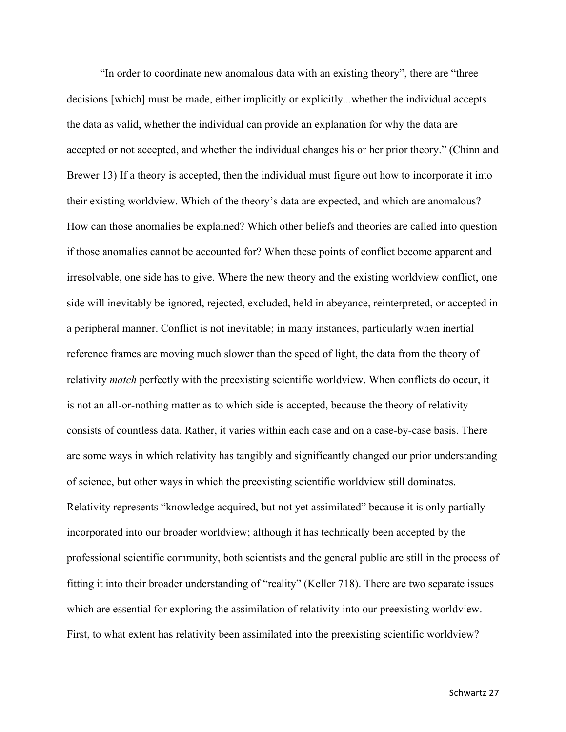"In order to coordinate new anomalous data with an existing theory", there are "three decisions [which] must be made, either implicitly or explicitly...whether the individual accepts the data as valid, whether the individual can provide an explanation for why the data are accepted or not accepted, and whether the individual changes his or her prior theory." (Chinn and Brewer 13) If a theory is accepted, then the individual must figure out how to incorporate it into their existing worldview. Which of the theory's data are expected, and which are anomalous? How can those anomalies be explained? Which other beliefs and theories are called into question if those anomalies cannot be accounted for? When these points of conflict become apparent and irresolvable, one side has to give. Where the new theory and the existing worldview conflict, one side will inevitably be ignored, rejected, excluded, held in abeyance, reinterpreted, or accepted in a peripheral manner. Conflict is not inevitable; in many instances, particularly when inertial reference frames are moving much slower than the speed of light, the data from the theory of relativity *match* perfectly with the preexisting scientific worldview. When conflicts do occur, it is not an all-or-nothing matter as to which side is accepted, because the theory of relativity consists of countless data. Rather, it varies within each case and on a case-by-case basis. There are some ways in which relativity has tangibly and significantly changed our prior understanding of science, but other ways in which the preexisting scientific worldview still dominates. Relativity represents "knowledge acquired, but not yet assimilated" because it is only partially incorporated into our broader worldview; although it has technically been accepted by the professional scientific community, both scientists and the general public are still in the process of fitting it into their broader understanding of "reality" (Keller 718). There are two separate issues which are essential for exploring the assimilation of relativity into our preexisting worldview. First, to what extent has relativity been assimilated into the preexisting scientific worldview?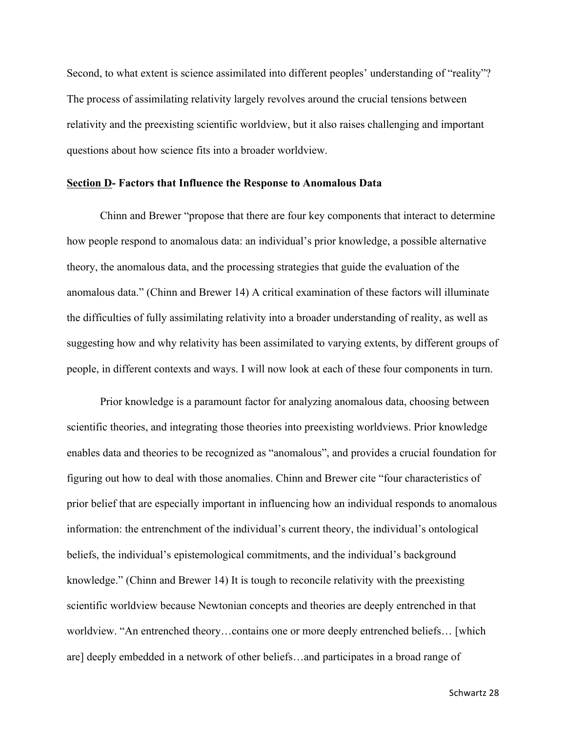Second, to what extent is science assimilated into different peoples' understanding of "reality"? The process of assimilating relativity largely revolves around the crucial tensions between relativity and the preexisting scientific worldview, but it also raises challenging and important questions about how science fits into a broader worldview.

#### **Section D- Factors that Influence the Response to Anomalous Data**

Chinn and Brewer "propose that there are four key components that interact to determine how people respond to anomalous data: an individual's prior knowledge, a possible alternative theory, the anomalous data, and the processing strategies that guide the evaluation of the anomalous data." (Chinn and Brewer 14) A critical examination of these factors will illuminate the difficulties of fully assimilating relativity into a broader understanding of reality, as well as suggesting how and why relativity has been assimilated to varying extents, by different groups of people, in different contexts and ways. I will now look at each of these four components in turn.

Prior knowledge is a paramount factor for analyzing anomalous data, choosing between scientific theories, and integrating those theories into preexisting worldviews. Prior knowledge enables data and theories to be recognized as "anomalous", and provides a crucial foundation for figuring out how to deal with those anomalies. Chinn and Brewer cite "four characteristics of prior belief that are especially important in influencing how an individual responds to anomalous information: the entrenchment of the individual's current theory, the individual's ontological beliefs, the individual's epistemological commitments, and the individual's background knowledge." (Chinn and Brewer 14) It is tough to reconcile relativity with the preexisting scientific worldview because Newtonian concepts and theories are deeply entrenched in that worldview. "An entrenched theory…contains one or more deeply entrenched beliefs… [which are] deeply embedded in a network of other beliefs…and participates in a broad range of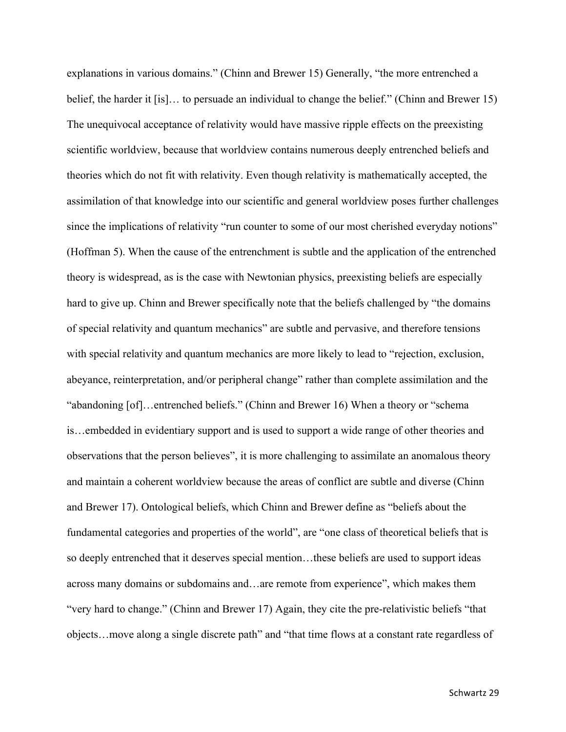explanations in various domains." (Chinn and Brewer 15) Generally, "the more entrenched a belief, the harder it [is]… to persuade an individual to change the belief." (Chinn and Brewer 15) The unequivocal acceptance of relativity would have massive ripple effects on the preexisting scientific worldview, because that worldview contains numerous deeply entrenched beliefs and theories which do not fit with relativity. Even though relativity is mathematically accepted, the assimilation of that knowledge into our scientific and general worldview poses further challenges since the implications of relativity "run counter to some of our most cherished everyday notions" (Hoffman 5). When the cause of the entrenchment is subtle and the application of the entrenched theory is widespread, as is the case with Newtonian physics, preexisting beliefs are especially hard to give up. Chinn and Brewer specifically note that the beliefs challenged by "the domains of special relativity and quantum mechanics" are subtle and pervasive, and therefore tensions with special relativity and quantum mechanics are more likely to lead to "rejection, exclusion, abeyance, reinterpretation, and/or peripheral change" rather than complete assimilation and the "abandoning [of]…entrenched beliefs." (Chinn and Brewer 16) When a theory or "schema is…embedded in evidentiary support and is used to support a wide range of other theories and observations that the person believes", it is more challenging to assimilate an anomalous theory and maintain a coherent worldview because the areas of conflict are subtle and diverse (Chinn and Brewer 17). Ontological beliefs, which Chinn and Brewer define as "beliefs about the fundamental categories and properties of the world", are "one class of theoretical beliefs that is so deeply entrenched that it deserves special mention…these beliefs are used to support ideas across many domains or subdomains and…are remote from experience", which makes them "very hard to change." (Chinn and Brewer 17) Again, they cite the pre-relativistic beliefs "that objects…move along a single discrete path" and "that time flows at a constant rate regardless of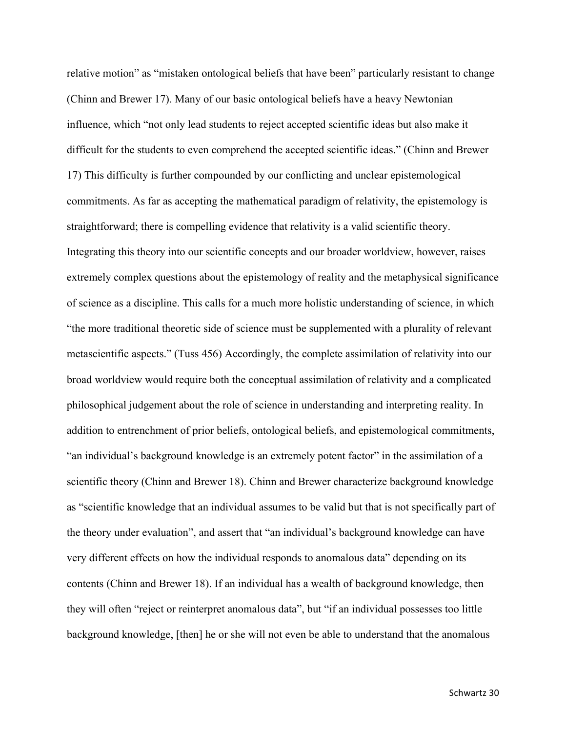relative motion" as "mistaken ontological beliefs that have been" particularly resistant to change (Chinn and Brewer 17). Many of our basic ontological beliefs have a heavy Newtonian influence, which "not only lead students to reject accepted scientific ideas but also make it difficult for the students to even comprehend the accepted scientific ideas." (Chinn and Brewer 17) This difficulty is further compounded by our conflicting and unclear epistemological commitments. As far as accepting the mathematical paradigm of relativity, the epistemology is straightforward; there is compelling evidence that relativity is a valid scientific theory. Integrating this theory into our scientific concepts and our broader worldview, however, raises extremely complex questions about the epistemology of reality and the metaphysical significance of science as a discipline. This calls for a much more holistic understanding of science, in which "the more traditional theoretic side of science must be supplemented with a plurality of relevant metascientific aspects." (Tuss 456) Accordingly, the complete assimilation of relativity into our broad worldview would require both the conceptual assimilation of relativity and a complicated philosophical judgement about the role of science in understanding and interpreting reality. In addition to entrenchment of prior beliefs, ontological beliefs, and epistemological commitments, "an individual's background knowledge is an extremely potent factor" in the assimilation of a scientific theory (Chinn and Brewer 18). Chinn and Brewer characterize background knowledge as "scientific knowledge that an individual assumes to be valid but that is not specifically part of the theory under evaluation", and assert that "an individual's background knowledge can have very different effects on how the individual responds to anomalous data" depending on its contents (Chinn and Brewer 18). If an individual has a wealth of background knowledge, then they will often "reject or reinterpret anomalous data", but "if an individual possesses too little background knowledge, [then] he or she will not even be able to understand that the anomalous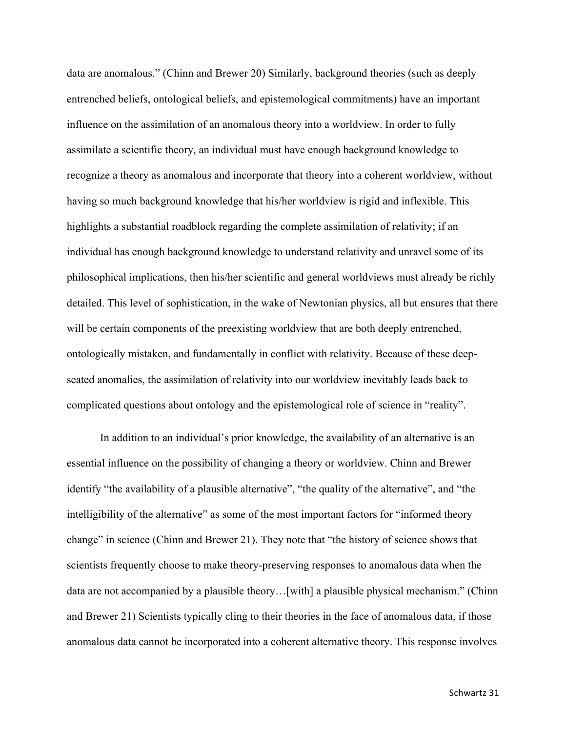data are anomalous." (Chinn and Brewer 20) Similarly, background theories (such as deeply entrenched beliefs, ontological beliefs, and epistemological commitments) have an important influence on the assimilation of an anomalous theory into a worldview. In order to fully assimilate a scientific theory, an individual must have enough background knowledge to recognize a theory as anomalous and incorporate that theory into a coherent worldview, without having so much background knowledge that his/her worldview is rigid and inflexible. This highlights a substantial roadblock regarding the complete assimilation of relativity; if an individual has enough background knowledge to understand relativity and unravel some of its philosophical implications, then his/her scientific and general worldviews must already be richly detailed. This level of sophistication, in the wake of Newtonian physics, all but ensures that there will be certain components of the preexisting worldview that are both deeply entrenched, ontologically mistaken, and fundamentally in conflict with relativity. Because of these deepseated anomalies, the assimilation of relativity into our worldview inevitably leads back to complicated questions about ontology and the epistemological role of science in "reality".

In addition to an individual's prior knowledge, the availability of an alternative is an essential influence on the possibility of changing a theory or worldview. Chinn and Brewer identify "the availability of a plausible alternative", "the quality of the alternative", and "the intelligibility of the alternative" as some of the most important factors for "informed theory change" in science (Chinn and Brewer 21). They note that "the history of science shows that scientists frequently choose to make theory-preserving responses to anomalous data when the data are not accompanied by a plausible theory…[with] a plausible physical mechanism." (Chinn and Brewer 21) Scientists typically cling to their theories in the face of anomalous data, if those anomalous data cannot be incorporated into a coherent alternative theory. This response involves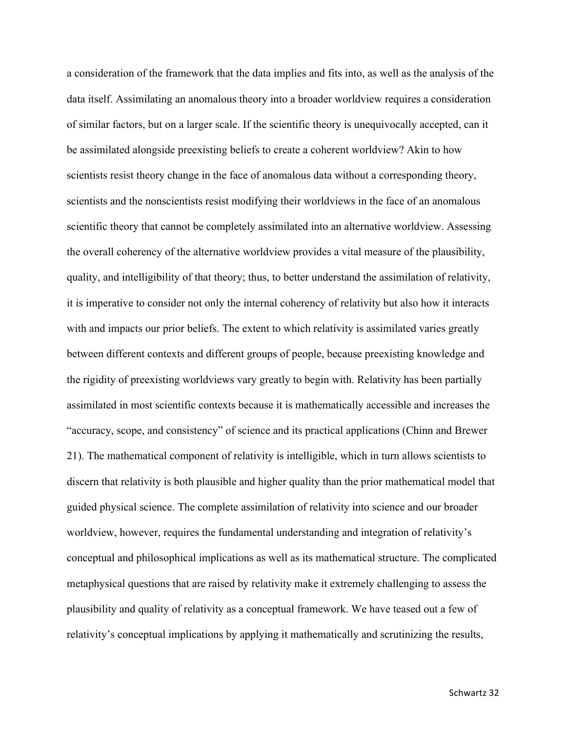a consideration of the framework that the data implies and fits into, as well as the analysis of the data itself. Assimilating an anomalous theory into a broader worldview requires a consideration of similar factors, but on a larger scale. If the scientific theory is unequivocally accepted, can it be assimilated alongside preexisting beliefs to create a coherent worldview? Akin to how scientists resist theory change in the face of anomalous data without a corresponding theory, scientists and the nonscientists resist modifying their worldviews in the face of an anomalous scientific theory that cannot be completely assimilated into an alternative worldview. Assessing the overall coherency of the alternative worldview provides a vital measure of the plausibility, quality, and intelligibility of that theory; thus, to better understand the assimilation of relativity, it is imperative to consider not only the internal coherency of relativity but also how it interacts with and impacts our prior beliefs. The extent to which relativity is assimilated varies greatly between different contexts and different groups of people, because preexisting knowledge and the rigidity of preexisting worldviews vary greatly to begin with. Relativity has been partially assimilated in most scientific contexts because it is mathematically accessible and increases the "accuracy, scope, and consistency" of science and its practical applications (Chinn and Brewer 21). The mathematical component of relativity is intelligible, which in turn allows scientists to discern that relativity is both plausible and higher quality than the prior mathematical model that guided physical science. The complete assimilation of relativity into science and our broader worldview, however, requires the fundamental understanding and integration of relativity's conceptual and philosophical implications as well as its mathematical structure. The complicated metaphysical questions that are raised by relativity make it extremely challenging to assess the plausibility and quality of relativity as a conceptual framework. We have teased out a few of relativity's conceptual implications by applying it mathematically and scrutinizing the results,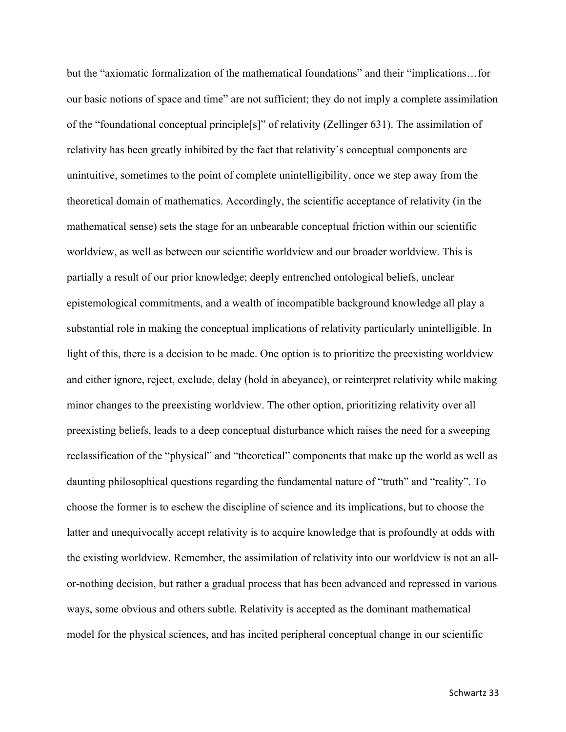but the "axiomatic formalization of the mathematical foundations" and their "implications…for our basic notions of space and time" are not sufficient; they do not imply a complete assimilation of the "foundational conceptual principle[s]" of relativity (Zellinger 631). The assimilation of relativity has been greatly inhibited by the fact that relativity's conceptual components are unintuitive, sometimes to the point of complete unintelligibility, once we step away from the theoretical domain of mathematics. Accordingly, the scientific acceptance of relativity (in the mathematical sense) sets the stage for an unbearable conceptual friction within our scientific worldview, as well as between our scientific worldview and our broader worldview. This is partially a result of our prior knowledge; deeply entrenched ontological beliefs, unclear epistemological commitments, and a wealth of incompatible background knowledge all play a substantial role in making the conceptual implications of relativity particularly unintelligible. In light of this, there is a decision to be made. One option is to prioritize the preexisting worldview and either ignore, reject, exclude, delay (hold in abeyance), or reinterpret relativity while making minor changes to the preexisting worldview. The other option, prioritizing relativity over all preexisting beliefs, leads to a deep conceptual disturbance which raises the need for a sweeping reclassification of the "physical" and "theoretical" components that make up the world as well as daunting philosophical questions regarding the fundamental nature of "truth" and "reality". To choose the former is to eschew the discipline of science and its implications, but to choose the latter and unequivocally accept relativity is to acquire knowledge that is profoundly at odds with the existing worldview. Remember, the assimilation of relativity into our worldview is not an allor-nothing decision, but rather a gradual process that has been advanced and repressed in various ways, some obvious and others subtle. Relativity is accepted as the dominant mathematical model for the physical sciences, and has incited peripheral conceptual change in our scientific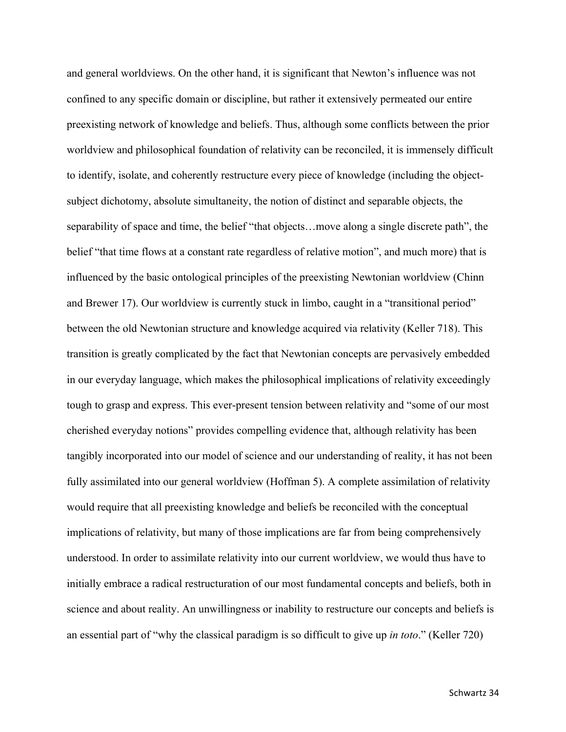and general worldviews. On the other hand, it is significant that Newton's influence was not confined to any specific domain or discipline, but rather it extensively permeated our entire preexisting network of knowledge and beliefs. Thus, although some conflicts between the prior worldview and philosophical foundation of relativity can be reconciled, it is immensely difficult to identify, isolate, and coherently restructure every piece of knowledge (including the objectsubject dichotomy, absolute simultaneity, the notion of distinct and separable objects, the separability of space and time, the belief "that objects…move along a single discrete path", the belief "that time flows at a constant rate regardless of relative motion", and much more) that is influenced by the basic ontological principles of the preexisting Newtonian worldview (Chinn and Brewer 17). Our worldview is currently stuck in limbo, caught in a "transitional period" between the old Newtonian structure and knowledge acquired via relativity (Keller 718). This transition is greatly complicated by the fact that Newtonian concepts are pervasively embedded in our everyday language, which makes the philosophical implications of relativity exceedingly tough to grasp and express. This ever-present tension between relativity and "some of our most cherished everyday notions" provides compelling evidence that, although relativity has been tangibly incorporated into our model of science and our understanding of reality, it has not been fully assimilated into our general worldview (Hoffman 5). A complete assimilation of relativity would require that all preexisting knowledge and beliefs be reconciled with the conceptual implications of relativity, but many of those implications are far from being comprehensively understood. In order to assimilate relativity into our current worldview, we would thus have to initially embrace a radical restructuration of our most fundamental concepts and beliefs, both in science and about reality. An unwillingness or inability to restructure our concepts and beliefs is an essential part of "why the classical paradigm is so difficult to give up *in toto*." (Keller 720)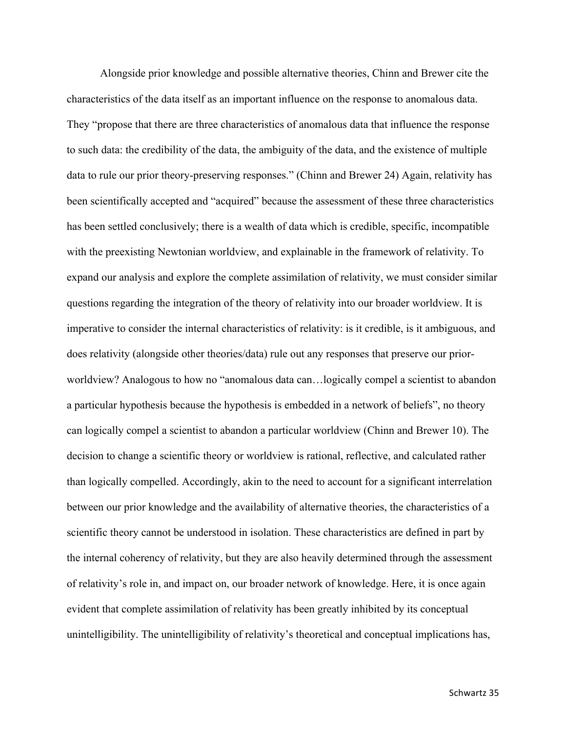Alongside prior knowledge and possible alternative theories, Chinn and Brewer cite the characteristics of the data itself as an important influence on the response to anomalous data. They "propose that there are three characteristics of anomalous data that influence the response to such data: the credibility of the data, the ambiguity of the data, and the existence of multiple data to rule our prior theory-preserving responses." (Chinn and Brewer 24) Again, relativity has been scientifically accepted and "acquired" because the assessment of these three characteristics has been settled conclusively; there is a wealth of data which is credible, specific, incompatible with the preexisting Newtonian worldview, and explainable in the framework of relativity. To expand our analysis and explore the complete assimilation of relativity, we must consider similar questions regarding the integration of the theory of relativity into our broader worldview. It is imperative to consider the internal characteristics of relativity: is it credible, is it ambiguous, and does relativity (alongside other theories/data) rule out any responses that preserve our priorworldview? Analogous to how no "anomalous data can…logically compel a scientist to abandon a particular hypothesis because the hypothesis is embedded in a network of beliefs", no theory can logically compel a scientist to abandon a particular worldview (Chinn and Brewer 10). The decision to change a scientific theory or worldview is rational, reflective, and calculated rather than logically compelled. Accordingly, akin to the need to account for a significant interrelation between our prior knowledge and the availability of alternative theories, the characteristics of a scientific theory cannot be understood in isolation. These characteristics are defined in part by the internal coherency of relativity, but they are also heavily determined through the assessment of relativity's role in, and impact on, our broader network of knowledge. Here, it is once again evident that complete assimilation of relativity has been greatly inhibited by its conceptual unintelligibility. The unintelligibility of relativity's theoretical and conceptual implications has,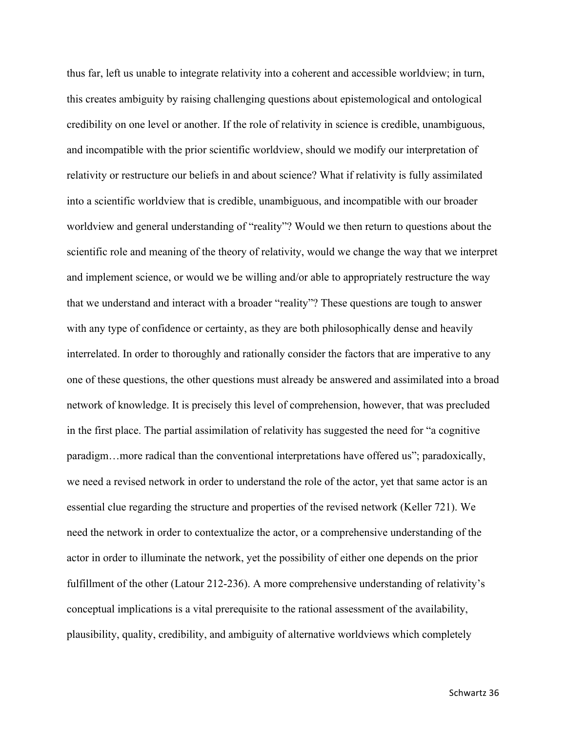thus far, left us unable to integrate relativity into a coherent and accessible worldview; in turn, this creates ambiguity by raising challenging questions about epistemological and ontological credibility on one level or another. If the role of relativity in science is credible, unambiguous, and incompatible with the prior scientific worldview, should we modify our interpretation of relativity or restructure our beliefs in and about science? What if relativity is fully assimilated into a scientific worldview that is credible, unambiguous, and incompatible with our broader worldview and general understanding of "reality"? Would we then return to questions about the scientific role and meaning of the theory of relativity, would we change the way that we interpret and implement science, or would we be willing and/or able to appropriately restructure the way that we understand and interact with a broader "reality"? These questions are tough to answer with any type of confidence or certainty, as they are both philosophically dense and heavily interrelated. In order to thoroughly and rationally consider the factors that are imperative to any one of these questions, the other questions must already be answered and assimilated into a broad network of knowledge. It is precisely this level of comprehension, however, that was precluded in the first place. The partial assimilation of relativity has suggested the need for "a cognitive paradigm…more radical than the conventional interpretations have offered us"; paradoxically, we need a revised network in order to understand the role of the actor, yet that same actor is an essential clue regarding the structure and properties of the revised network (Keller 721). We need the network in order to contextualize the actor, or a comprehensive understanding of the actor in order to illuminate the network, yet the possibility of either one depends on the prior fulfillment of the other (Latour 212-236). A more comprehensive understanding of relativity's conceptual implications is a vital prerequisite to the rational assessment of the availability, plausibility, quality, credibility, and ambiguity of alternative worldviews which completely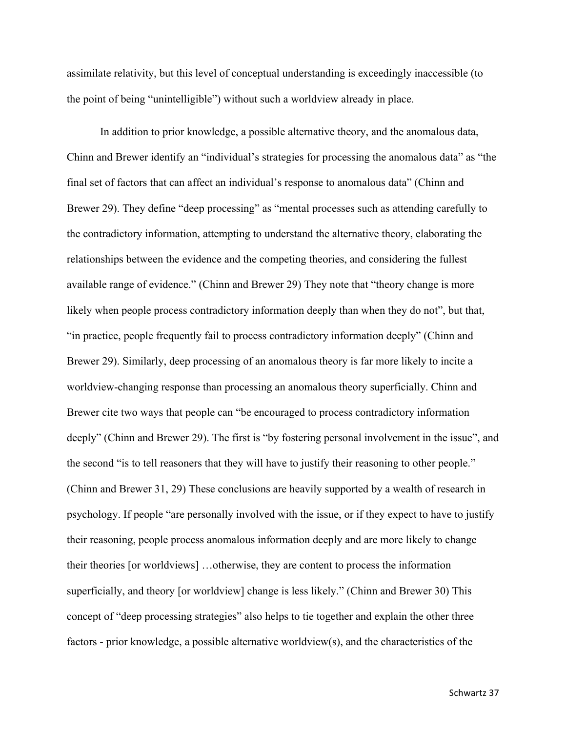assimilate relativity, but this level of conceptual understanding is exceedingly inaccessible (to the point of being "unintelligible") without such a worldview already in place.

In addition to prior knowledge, a possible alternative theory, and the anomalous data, Chinn and Brewer identify an "individual's strategies for processing the anomalous data" as "the final set of factors that can affect an individual's response to anomalous data" (Chinn and Brewer 29). They define "deep processing" as "mental processes such as attending carefully to the contradictory information, attempting to understand the alternative theory, elaborating the relationships between the evidence and the competing theories, and considering the fullest available range of evidence." (Chinn and Brewer 29) They note that "theory change is more likely when people process contradictory information deeply than when they do not", but that, "in practice, people frequently fail to process contradictory information deeply" (Chinn and Brewer 29). Similarly, deep processing of an anomalous theory is far more likely to incite a worldview-changing response than processing an anomalous theory superficially. Chinn and Brewer cite two ways that people can "be encouraged to process contradictory information deeply" (Chinn and Brewer 29). The first is "by fostering personal involvement in the issue", and the second "is to tell reasoners that they will have to justify their reasoning to other people." (Chinn and Brewer 31, 29) These conclusions are heavily supported by a wealth of research in psychology. If people "are personally involved with the issue, or if they expect to have to justify their reasoning, people process anomalous information deeply and are more likely to change their theories [or worldviews] …otherwise, they are content to process the information superficially, and theory [or worldview] change is less likely." (Chinn and Brewer 30) This concept of "deep processing strategies" also helps to tie together and explain the other three factors - prior knowledge, a possible alternative worldview(s), and the characteristics of the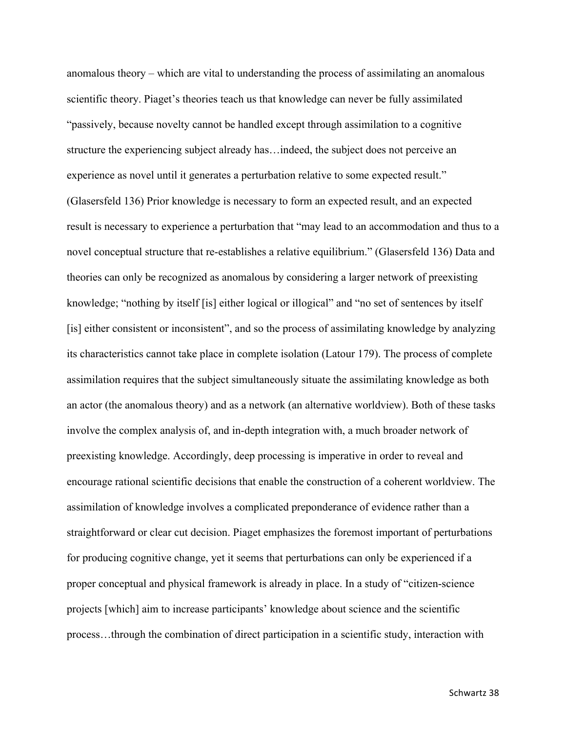anomalous theory – which are vital to understanding the process of assimilating an anomalous scientific theory. Piaget's theories teach us that knowledge can never be fully assimilated "passively, because novelty cannot be handled except through assimilation to a cognitive structure the experiencing subject already has…indeed, the subject does not perceive an experience as novel until it generates a perturbation relative to some expected result." (Glasersfeld 136) Prior knowledge is necessary to form an expected result, and an expected result is necessary to experience a perturbation that "may lead to an accommodation and thus to a novel conceptual structure that re-establishes a relative equilibrium." (Glasersfeld 136) Data and theories can only be recognized as anomalous by considering a larger network of preexisting knowledge; "nothing by itself [is] either logical or illogical" and "no set of sentences by itself [is] either consistent or inconsistent", and so the process of assimilating knowledge by analyzing its characteristics cannot take place in complete isolation (Latour 179). The process of complete assimilation requires that the subject simultaneously situate the assimilating knowledge as both an actor (the anomalous theory) and as a network (an alternative worldview). Both of these tasks involve the complex analysis of, and in-depth integration with, a much broader network of preexisting knowledge. Accordingly, deep processing is imperative in order to reveal and encourage rational scientific decisions that enable the construction of a coherent worldview. The assimilation of knowledge involves a complicated preponderance of evidence rather than a straightforward or clear cut decision. Piaget emphasizes the foremost important of perturbations for producing cognitive change, yet it seems that perturbations can only be experienced if a proper conceptual and physical framework is already in place. In a study of "citizen-science projects [which] aim to increase participants' knowledge about science and the scientific process…through the combination of direct participation in a scientific study, interaction with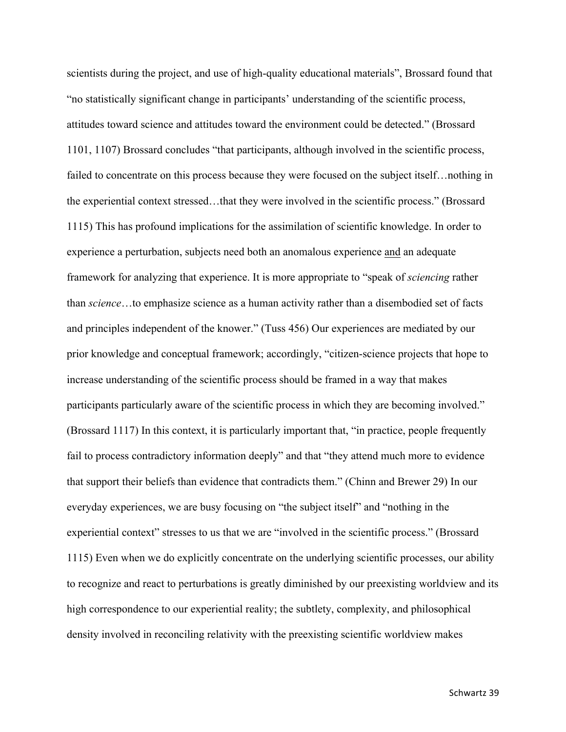scientists during the project, and use of high-quality educational materials", Brossard found that "no statistically significant change in participants' understanding of the scientific process, attitudes toward science and attitudes toward the environment could be detected." (Brossard 1101, 1107) Brossard concludes "that participants, although involved in the scientific process, failed to concentrate on this process because they were focused on the subject itself…nothing in the experiential context stressed…that they were involved in the scientific process." (Brossard 1115) This has profound implications for the assimilation of scientific knowledge. In order to experience a perturbation, subjects need both an anomalous experience and an adequate framework for analyzing that experience. It is more appropriate to "speak of *sciencing* rather than *science*…to emphasize science as a human activity rather than a disembodied set of facts and principles independent of the knower." (Tuss 456) Our experiences are mediated by our prior knowledge and conceptual framework; accordingly, "citizen-science projects that hope to increase understanding of the scientific process should be framed in a way that makes participants particularly aware of the scientific process in which they are becoming involved." (Brossard 1117) In this context, it is particularly important that, "in practice, people frequently fail to process contradictory information deeply" and that "they attend much more to evidence that support their beliefs than evidence that contradicts them." (Chinn and Brewer 29) In our everyday experiences, we are busy focusing on "the subject itself" and "nothing in the experiential context" stresses to us that we are "involved in the scientific process." (Brossard 1115) Even when we do explicitly concentrate on the underlying scientific processes, our ability to recognize and react to perturbations is greatly diminished by our preexisting worldview and its high correspondence to our experiential reality; the subtlety, complexity, and philosophical density involved in reconciling relativity with the preexisting scientific worldview makes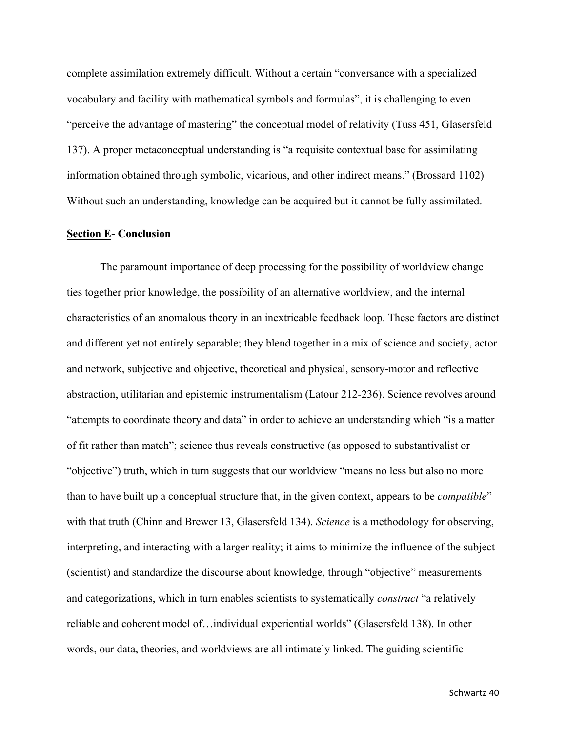complete assimilation extremely difficult. Without a certain "conversance with a specialized vocabulary and facility with mathematical symbols and formulas", it is challenging to even "perceive the advantage of mastering" the conceptual model of relativity (Tuss 451, Glasersfeld 137). A proper metaconceptual understanding is "a requisite contextual base for assimilating information obtained through symbolic, vicarious, and other indirect means." (Brossard 1102) Without such an understanding, knowledge can be acquired but it cannot be fully assimilated.

#### **Section E- Conclusion**

The paramount importance of deep processing for the possibility of worldview change ties together prior knowledge, the possibility of an alternative worldview, and the internal characteristics of an anomalous theory in an inextricable feedback loop. These factors are distinct and different yet not entirely separable; they blend together in a mix of science and society, actor and network, subjective and objective, theoretical and physical, sensory-motor and reflective abstraction, utilitarian and epistemic instrumentalism (Latour 212-236). Science revolves around "attempts to coordinate theory and data" in order to achieve an understanding which "is a matter of fit rather than match"; science thus reveals constructive (as opposed to substantivalist or "objective") truth, which in turn suggests that our worldview "means no less but also no more than to have built up a conceptual structure that, in the given context, appears to be *compatible*" with that truth (Chinn and Brewer 13, Glasersfeld 134). *Science* is a methodology for observing, interpreting, and interacting with a larger reality; it aims to minimize the influence of the subject (scientist) and standardize the discourse about knowledge, through "objective" measurements and categorizations, which in turn enables scientists to systematically *construct* "a relatively reliable and coherent model of…individual experiential worlds" (Glasersfeld 138). In other words, our data, theories, and worldviews are all intimately linked. The guiding scientific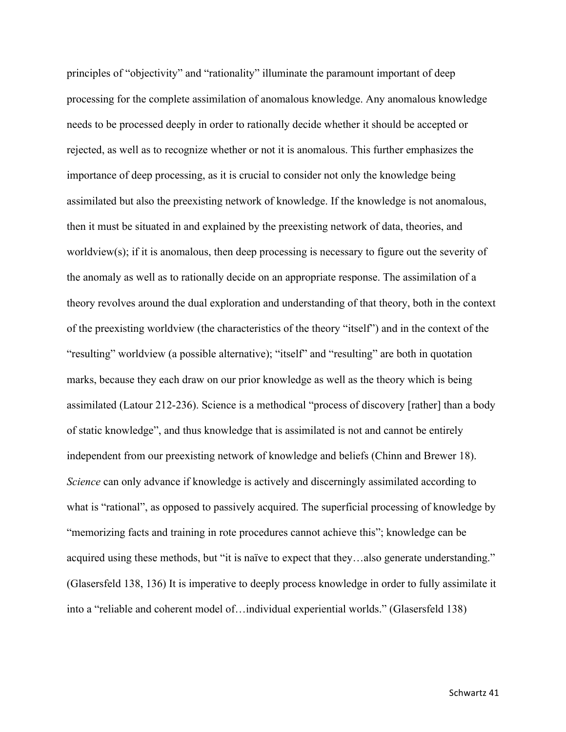principles of "objectivity" and "rationality" illuminate the paramount important of deep processing for the complete assimilation of anomalous knowledge. Any anomalous knowledge needs to be processed deeply in order to rationally decide whether it should be accepted or rejected, as well as to recognize whether or not it is anomalous. This further emphasizes the importance of deep processing, as it is crucial to consider not only the knowledge being assimilated but also the preexisting network of knowledge. If the knowledge is not anomalous, then it must be situated in and explained by the preexisting network of data, theories, and worldview(s); if it is anomalous, then deep processing is necessary to figure out the severity of the anomaly as well as to rationally decide on an appropriate response. The assimilation of a theory revolves around the dual exploration and understanding of that theory, both in the context of the preexisting worldview (the characteristics of the theory "itself") and in the context of the "resulting" worldview (a possible alternative); "itself" and "resulting" are both in quotation marks, because they each draw on our prior knowledge as well as the theory which is being assimilated (Latour 212-236). Science is a methodical "process of discovery [rather] than a body of static knowledge", and thus knowledge that is assimilated is not and cannot be entirely independent from our preexisting network of knowledge and beliefs (Chinn and Brewer 18). *Science* can only advance if knowledge is actively and discerningly assimilated according to what is "rational", as opposed to passively acquired. The superficial processing of knowledge by "memorizing facts and training in rote procedures cannot achieve this"; knowledge can be acquired using these methods, but "it is naïve to expect that they…also generate understanding." (Glasersfeld 138, 136) It is imperative to deeply process knowledge in order to fully assimilate it into a "reliable and coherent model of…individual experiential worlds." (Glasersfeld 138)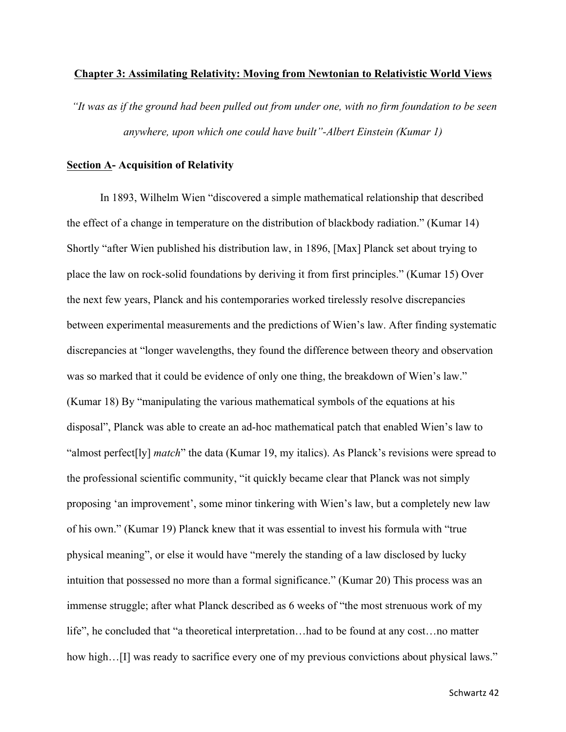#### **Chapter 3: Assimilating Relativity: Moving from Newtonian to Relativistic World Views**

*"It was as if the ground had been pulled out from under one, with no firm foundation to be seen anywhere, upon which one could have built"-Albert Einstein (Kumar 1)*

### **Section A- Acquisition of Relativity**

In 1893, Wilhelm Wien "discovered a simple mathematical relationship that described the effect of a change in temperature on the distribution of blackbody radiation." (Kumar 14) Shortly "after Wien published his distribution law, in 1896, [Max] Planck set about trying to place the law on rock-solid foundations by deriving it from first principles." (Kumar 15) Over the next few years, Planck and his contemporaries worked tirelessly resolve discrepancies between experimental measurements and the predictions of Wien's law. After finding systematic discrepancies at "longer wavelengths, they found the difference between theory and observation was so marked that it could be evidence of only one thing, the breakdown of Wien's law." (Kumar 18) By "manipulating the various mathematical symbols of the equations at his disposal", Planck was able to create an ad-hoc mathematical patch that enabled Wien's law to "almost perfect[ly] *match*" the data (Kumar 19, my italics). As Planck's revisions were spread to the professional scientific community, "it quickly became clear that Planck was not simply proposing 'an improvement', some minor tinkering with Wien's law, but a completely new law of his own." (Kumar 19) Planck knew that it was essential to invest his formula with "true physical meaning", or else it would have "merely the standing of a law disclosed by lucky intuition that possessed no more than a formal significance." (Kumar 20) This process was an immense struggle; after what Planck described as 6 weeks of "the most strenuous work of my life", he concluded that "a theoretical interpretation…had to be found at any cost…no matter how high…[I] was ready to sacrifice every one of my previous convictions about physical laws."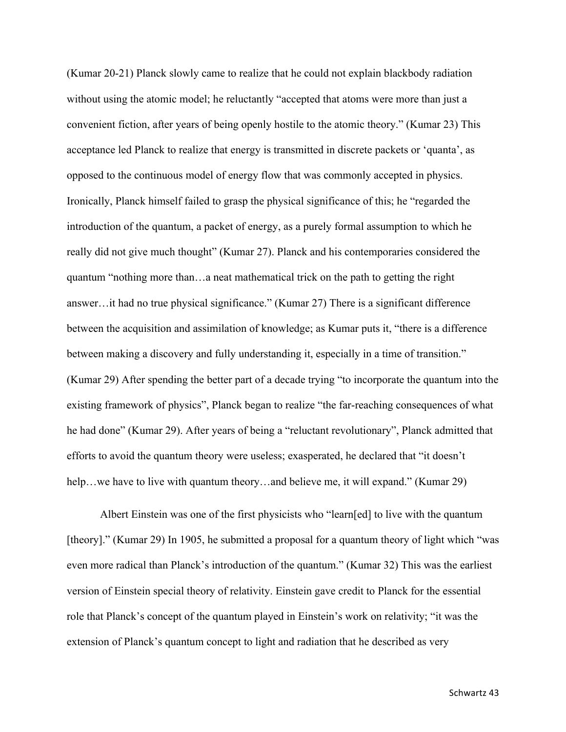(Kumar 20-21) Planck slowly came to realize that he could not explain blackbody radiation without using the atomic model; he reluctantly "accepted that atoms were more than just a convenient fiction, after years of being openly hostile to the atomic theory." (Kumar 23) This acceptance led Planck to realize that energy is transmitted in discrete packets or 'quanta', as opposed to the continuous model of energy flow that was commonly accepted in physics. Ironically, Planck himself failed to grasp the physical significance of this; he "regarded the introduction of the quantum, a packet of energy, as a purely formal assumption to which he really did not give much thought" (Kumar 27). Planck and his contemporaries considered the quantum "nothing more than…a neat mathematical trick on the path to getting the right answer…it had no true physical significance." (Kumar 27) There is a significant difference between the acquisition and assimilation of knowledge; as Kumar puts it, "there is a difference between making a discovery and fully understanding it, especially in a time of transition." (Kumar 29) After spending the better part of a decade trying "to incorporate the quantum into the existing framework of physics", Planck began to realize "the far-reaching consequences of what he had done" (Kumar 29). After years of being a "reluctant revolutionary", Planck admitted that efforts to avoid the quantum theory were useless; exasperated, he declared that "it doesn't help...we have to live with quantum theory...and believe me, it will expand." (Kumar 29)

Albert Einstein was one of the first physicists who "learn[ed] to live with the quantum [theory]." (Kumar 29) In 1905, he submitted a proposal for a quantum theory of light which "was even more radical than Planck's introduction of the quantum." (Kumar 32) This was the earliest version of Einstein special theory of relativity. Einstein gave credit to Planck for the essential role that Planck's concept of the quantum played in Einstein's work on relativity; "it was the extension of Planck's quantum concept to light and radiation that he described as very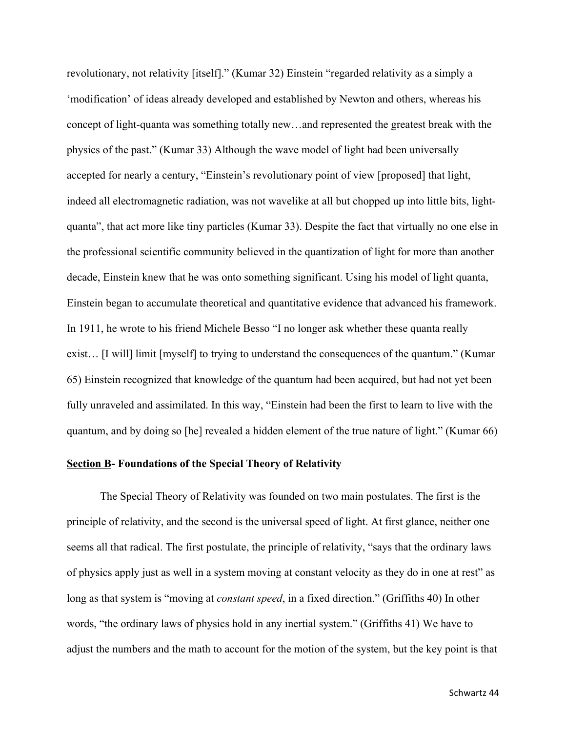revolutionary, not relativity [itself]." (Kumar 32) Einstein "regarded relativity as a simply a 'modification' of ideas already developed and established by Newton and others, whereas his concept of light-quanta was something totally new…and represented the greatest break with the physics of the past." (Kumar 33) Although the wave model of light had been universally accepted for nearly a century, "Einstein's revolutionary point of view [proposed] that light, indeed all electromagnetic radiation, was not wavelike at all but chopped up into little bits, lightquanta", that act more like tiny particles (Kumar 33). Despite the fact that virtually no one else in the professional scientific community believed in the quantization of light for more than another decade, Einstein knew that he was onto something significant. Using his model of light quanta, Einstein began to accumulate theoretical and quantitative evidence that advanced his framework. In 1911, he wrote to his friend Michele Besso "I no longer ask whether these quanta really exist… [I will] limit [myself] to trying to understand the consequences of the quantum." (Kumar 65) Einstein recognized that knowledge of the quantum had been acquired, but had not yet been fully unraveled and assimilated. In this way, "Einstein had been the first to learn to live with the quantum, and by doing so [he] revealed a hidden element of the true nature of light." (Kumar 66)

## **Section B- Foundations of the Special Theory of Relativity**

The Special Theory of Relativity was founded on two main postulates. The first is the principle of relativity, and the second is the universal speed of light. At first glance, neither one seems all that radical. The first postulate, the principle of relativity, "says that the ordinary laws of physics apply just as well in a system moving at constant velocity as they do in one at rest" as long as that system is "moving at *constant speed*, in a fixed direction." (Griffiths 40) In other words, "the ordinary laws of physics hold in any inertial system." (Griffiths 41) We have to adjust the numbers and the math to account for the motion of the system, but the key point is that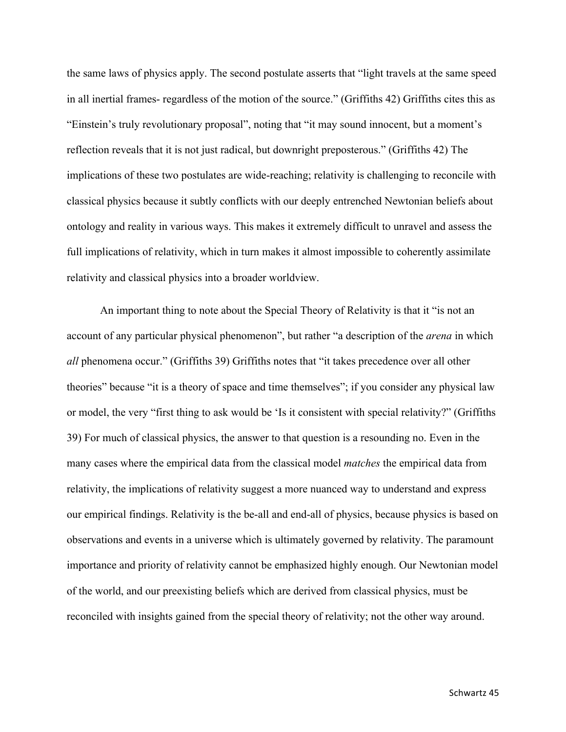the same laws of physics apply. The second postulate asserts that "light travels at the same speed in all inertial frames- regardless of the motion of the source." (Griffiths 42) Griffiths cites this as "Einstein's truly revolutionary proposal", noting that "it may sound innocent, but a moment's reflection reveals that it is not just radical, but downright preposterous." (Griffiths 42) The implications of these two postulates are wide-reaching; relativity is challenging to reconcile with classical physics because it subtly conflicts with our deeply entrenched Newtonian beliefs about ontology and reality in various ways. This makes it extremely difficult to unravel and assess the full implications of relativity, which in turn makes it almost impossible to coherently assimilate relativity and classical physics into a broader worldview.

An important thing to note about the Special Theory of Relativity is that it "is not an account of any particular physical phenomenon", but rather "a description of the *arena* in which *all* phenomena occur." (Griffiths 39) Griffiths notes that "it takes precedence over all other theories" because "it is a theory of space and time themselves"; if you consider any physical law or model, the very "first thing to ask would be 'Is it consistent with special relativity?" (Griffiths 39) For much of classical physics, the answer to that question is a resounding no. Even in the many cases where the empirical data from the classical model *matches* the empirical data from relativity, the implications of relativity suggest a more nuanced way to understand and express our empirical findings. Relativity is the be-all and end-all of physics, because physics is based on observations and events in a universe which is ultimately governed by relativity. The paramount importance and priority of relativity cannot be emphasized highly enough. Our Newtonian model of the world, and our preexisting beliefs which are derived from classical physics, must be reconciled with insights gained from the special theory of relativity; not the other way around.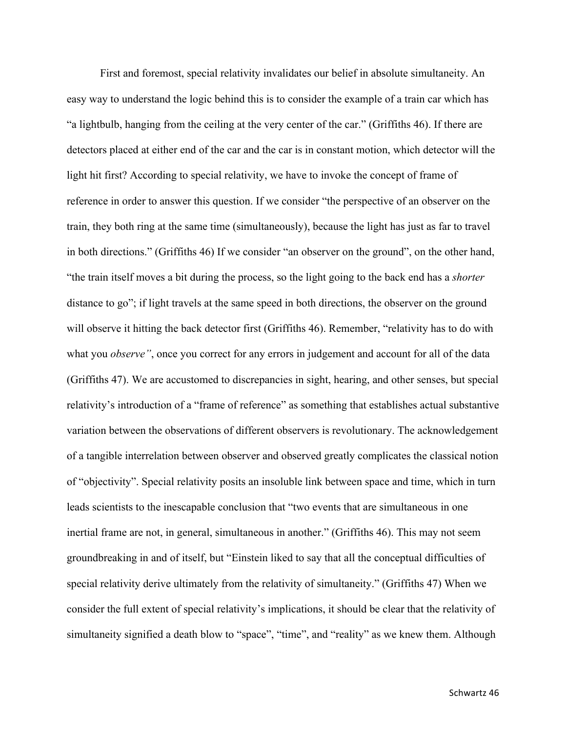First and foremost, special relativity invalidates our belief in absolute simultaneity. An easy way to understand the logic behind this is to consider the example of a train car which has "a lightbulb, hanging from the ceiling at the very center of the car." (Griffiths 46). If there are detectors placed at either end of the car and the car is in constant motion, which detector will the light hit first? According to special relativity, we have to invoke the concept of frame of reference in order to answer this question. If we consider "the perspective of an observer on the train, they both ring at the same time (simultaneously), because the light has just as far to travel in both directions." (Griffiths 46) If we consider "an observer on the ground", on the other hand, "the train itself moves a bit during the process, so the light going to the back end has a *shorter* distance to go"; if light travels at the same speed in both directions, the observer on the ground will observe it hitting the back detector first (Griffiths 46). Remember, "relativity has to do with what you *observe*", once you correct for any errors in judgement and account for all of the data (Griffiths 47). We are accustomed to discrepancies in sight, hearing, and other senses, but special relativity's introduction of a "frame of reference" as something that establishes actual substantive variation between the observations of different observers is revolutionary. The acknowledgement of a tangible interrelation between observer and observed greatly complicates the classical notion of "objectivity". Special relativity posits an insoluble link between space and time, which in turn leads scientists to the inescapable conclusion that "two events that are simultaneous in one inertial frame are not, in general, simultaneous in another." (Griffiths 46). This may not seem groundbreaking in and of itself, but "Einstein liked to say that all the conceptual difficulties of special relativity derive ultimately from the relativity of simultaneity." (Griffiths 47) When we consider the full extent of special relativity's implications, it should be clear that the relativity of simultaneity signified a death blow to "space", "time", and "reality" as we knew them. Although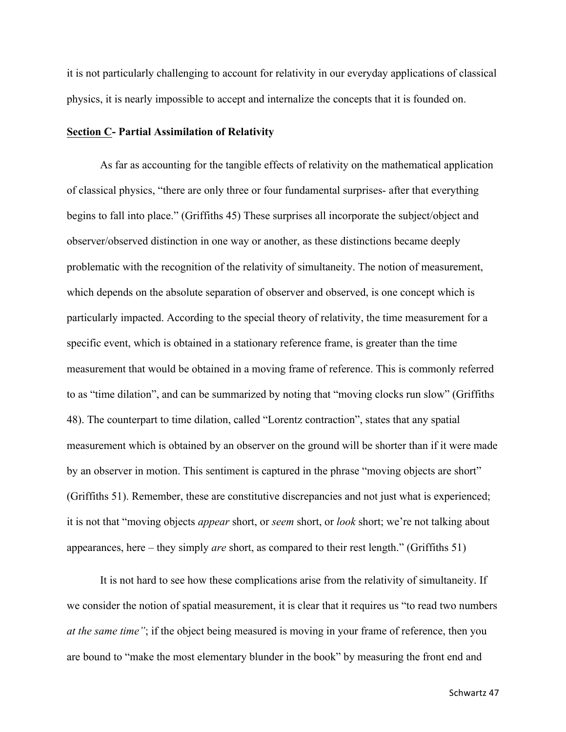it is not particularly challenging to account for relativity in our everyday applications of classical physics, it is nearly impossible to accept and internalize the concepts that it is founded on.

### **Section C- Partial Assimilation of Relativity**

As far as accounting for the tangible effects of relativity on the mathematical application of classical physics, "there are only three or four fundamental surprises- after that everything begins to fall into place." (Griffiths 45) These surprises all incorporate the subject/object and observer/observed distinction in one way or another, as these distinctions became deeply problematic with the recognition of the relativity of simultaneity. The notion of measurement, which depends on the absolute separation of observer and observed, is one concept which is particularly impacted. According to the special theory of relativity, the time measurement for a specific event, which is obtained in a stationary reference frame, is greater than the time measurement that would be obtained in a moving frame of reference. This is commonly referred to as "time dilation", and can be summarized by noting that "moving clocks run slow" (Griffiths 48). The counterpart to time dilation, called "Lorentz contraction", states that any spatial measurement which is obtained by an observer on the ground will be shorter than if it were made by an observer in motion. This sentiment is captured in the phrase "moving objects are short" (Griffiths 51). Remember, these are constitutive discrepancies and not just what is experienced; it is not that "moving objects *appear* short, or *seem* short, or *look* short; we're not talking about appearances, here – they simply *are* short, as compared to their rest length." (Griffiths 51)

It is not hard to see how these complications arise from the relativity of simultaneity. If we consider the notion of spatial measurement, it is clear that it requires us "to read two numbers *at the same time"*; if the object being measured is moving in your frame of reference, then you are bound to "make the most elementary blunder in the book" by measuring the front end and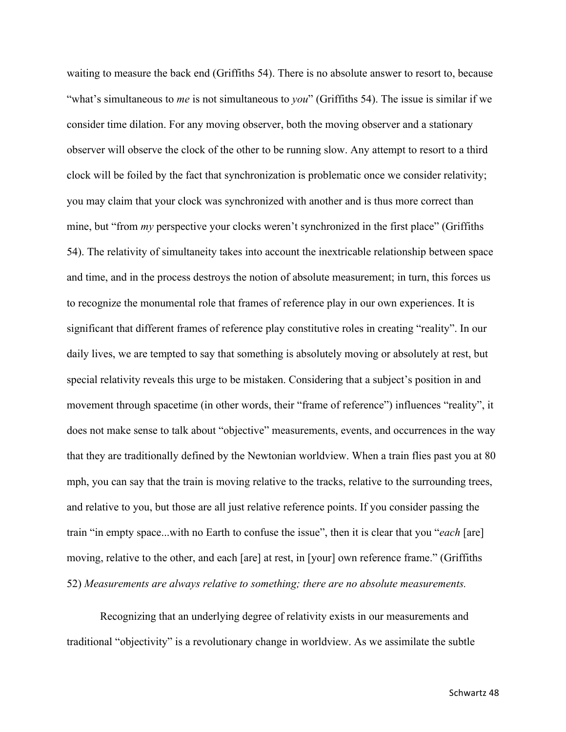waiting to measure the back end (Griffiths 54). There is no absolute answer to resort to, because "what's simultaneous to *me* is not simultaneous to *you*" (Griffiths 54). The issue is similar if we consider time dilation. For any moving observer, both the moving observer and a stationary observer will observe the clock of the other to be running slow. Any attempt to resort to a third clock will be foiled by the fact that synchronization is problematic once we consider relativity; you may claim that your clock was synchronized with another and is thus more correct than mine, but "from *my* perspective your clocks weren't synchronized in the first place" (Griffiths 54). The relativity of simultaneity takes into account the inextricable relationship between space and time, and in the process destroys the notion of absolute measurement; in turn, this forces us to recognize the monumental role that frames of reference play in our own experiences. It is significant that different frames of reference play constitutive roles in creating "reality". In our daily lives, we are tempted to say that something is absolutely moving or absolutely at rest, but special relativity reveals this urge to be mistaken. Considering that a subject's position in and movement through spacetime (in other words, their "frame of reference") influences "reality", it does not make sense to talk about "objective" measurements, events, and occurrences in the way that they are traditionally defined by the Newtonian worldview. When a train flies past you at 80 mph, you can say that the train is moving relative to the tracks, relative to the surrounding trees, and relative to you, but those are all just relative reference points. If you consider passing the train "in empty space...with no Earth to confuse the issue", then it is clear that you "*each* [are] moving, relative to the other, and each [are] at rest, in [your] own reference frame." (Griffiths 52) *Measurements are always relative to something; there are no absolute measurements.*

Recognizing that an underlying degree of relativity exists in our measurements and traditional "objectivity" is a revolutionary change in worldview. As we assimilate the subtle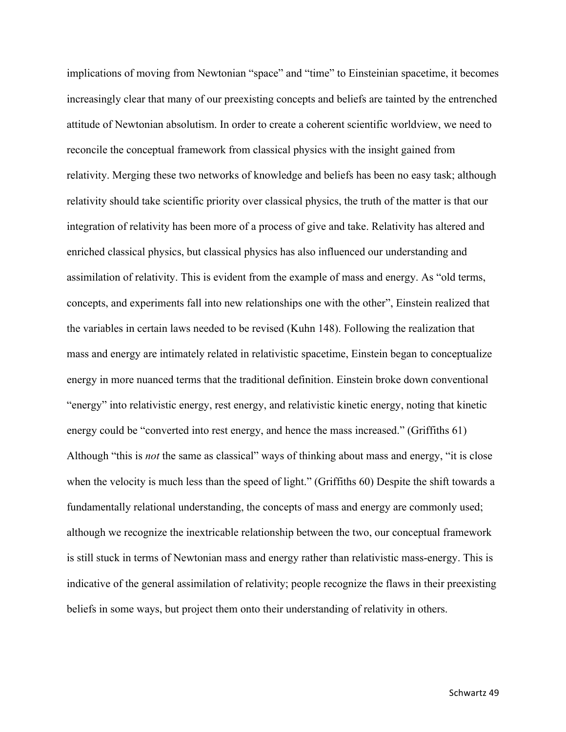implications of moving from Newtonian "space" and "time" to Einsteinian spacetime, it becomes increasingly clear that many of our preexisting concepts and beliefs are tainted by the entrenched attitude of Newtonian absolutism. In order to create a coherent scientific worldview, we need to reconcile the conceptual framework from classical physics with the insight gained from relativity. Merging these two networks of knowledge and beliefs has been no easy task; although relativity should take scientific priority over classical physics, the truth of the matter is that our integration of relativity has been more of a process of give and take. Relativity has altered and enriched classical physics, but classical physics has also influenced our understanding and assimilation of relativity. This is evident from the example of mass and energy. As "old terms, concepts, and experiments fall into new relationships one with the other", Einstein realized that the variables in certain laws needed to be revised (Kuhn 148). Following the realization that mass and energy are intimately related in relativistic spacetime, Einstein began to conceptualize energy in more nuanced terms that the traditional definition. Einstein broke down conventional "energy" into relativistic energy, rest energy, and relativistic kinetic energy, noting that kinetic energy could be "converted into rest energy, and hence the mass increased." (Griffiths 61) Although "this is *not* the same as classical" ways of thinking about mass and energy, "it is close when the velocity is much less than the speed of light." (Griffiths 60) Despite the shift towards a fundamentally relational understanding, the concepts of mass and energy are commonly used; although we recognize the inextricable relationship between the two, our conceptual framework is still stuck in terms of Newtonian mass and energy rather than relativistic mass-energy. This is indicative of the general assimilation of relativity; people recognize the flaws in their preexisting beliefs in some ways, but project them onto their understanding of relativity in others.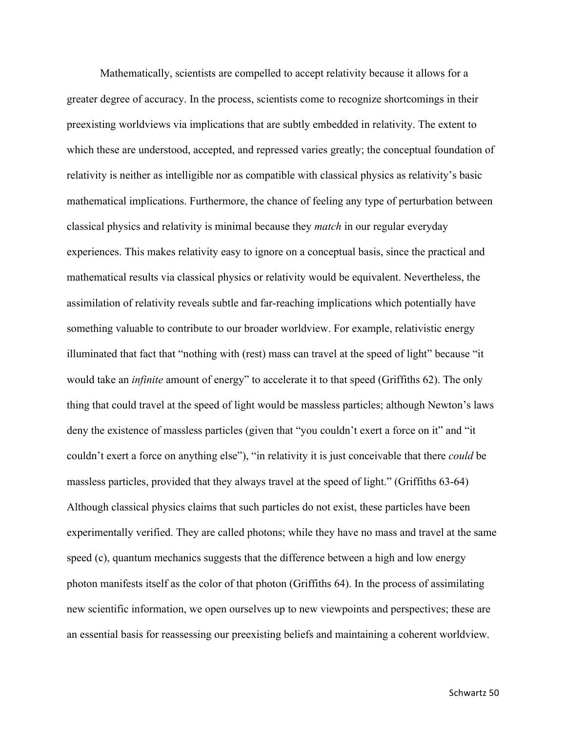Mathematically, scientists are compelled to accept relativity because it allows for a greater degree of accuracy. In the process, scientists come to recognize shortcomings in their preexisting worldviews via implications that are subtly embedded in relativity. The extent to which these are understood, accepted, and repressed varies greatly; the conceptual foundation of relativity is neither as intelligible nor as compatible with classical physics as relativity's basic mathematical implications. Furthermore, the chance of feeling any type of perturbation between classical physics and relativity is minimal because they *match* in our regular everyday experiences. This makes relativity easy to ignore on a conceptual basis, since the practical and mathematical results via classical physics or relativity would be equivalent. Nevertheless, the assimilation of relativity reveals subtle and far-reaching implications which potentially have something valuable to contribute to our broader worldview. For example, relativistic energy illuminated that fact that "nothing with (rest) mass can travel at the speed of light" because "it would take an *infinite* amount of energy" to accelerate it to that speed (Griffiths 62). The only thing that could travel at the speed of light would be massless particles; although Newton's laws deny the existence of massless particles (given that "you couldn't exert a force on it" and "it couldn't exert a force on anything else"), "in relativity it is just conceivable that there *could* be massless particles, provided that they always travel at the speed of light." (Griffiths 63-64) Although classical physics claims that such particles do not exist, these particles have been experimentally verified. They are called photons; while they have no mass and travel at the same speed (c), quantum mechanics suggests that the difference between a high and low energy photon manifests itself as the color of that photon (Griffiths 64). In the process of assimilating new scientific information, we open ourselves up to new viewpoints and perspectives; these are an essential basis for reassessing our preexisting beliefs and maintaining a coherent worldview.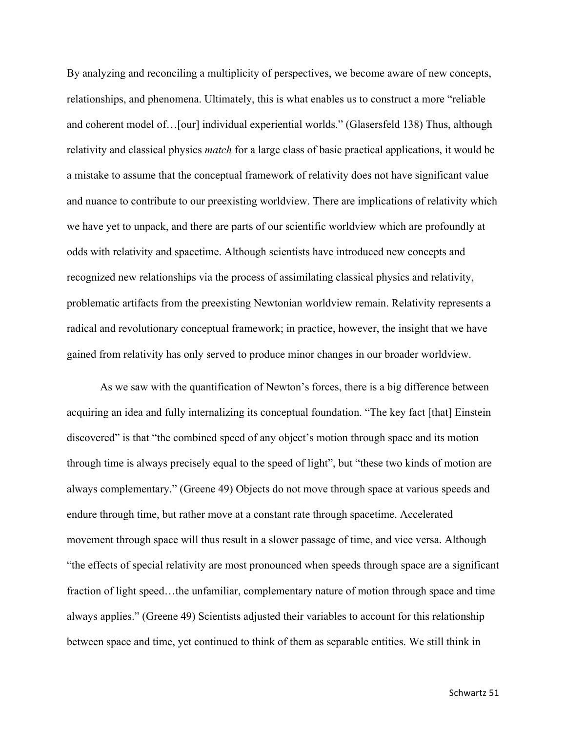By analyzing and reconciling a multiplicity of perspectives, we become aware of new concepts, relationships, and phenomena. Ultimately, this is what enables us to construct a more "reliable and coherent model of…[our] individual experiential worlds." (Glasersfeld 138) Thus, although relativity and classical physics *match* for a large class of basic practical applications, it would be a mistake to assume that the conceptual framework of relativity does not have significant value and nuance to contribute to our preexisting worldview. There are implications of relativity which we have yet to unpack, and there are parts of our scientific worldview which are profoundly at odds with relativity and spacetime. Although scientists have introduced new concepts and recognized new relationships via the process of assimilating classical physics and relativity, problematic artifacts from the preexisting Newtonian worldview remain. Relativity represents a radical and revolutionary conceptual framework; in practice, however, the insight that we have gained from relativity has only served to produce minor changes in our broader worldview.

As we saw with the quantification of Newton's forces, there is a big difference between acquiring an idea and fully internalizing its conceptual foundation. "The key fact [that] Einstein discovered" is that "the combined speed of any object's motion through space and its motion through time is always precisely equal to the speed of light", but "these two kinds of motion are always complementary." (Greene 49) Objects do not move through space at various speeds and endure through time, but rather move at a constant rate through spacetime. Accelerated movement through space will thus result in a slower passage of time, and vice versa. Although "the effects of special relativity are most pronounced when speeds through space are a significant fraction of light speed…the unfamiliar, complementary nature of motion through space and time always applies." (Greene 49) Scientists adjusted their variables to account for this relationship between space and time, yet continued to think of them as separable entities. We still think in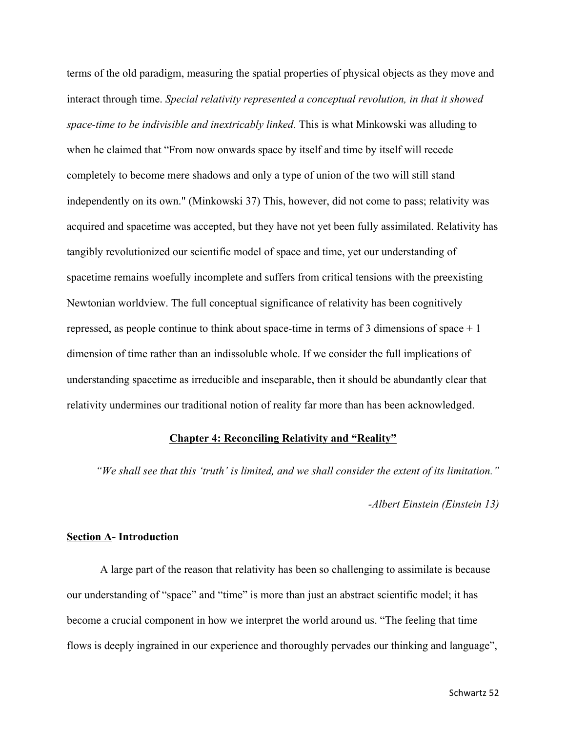terms of the old paradigm, measuring the spatial properties of physical objects as they move and interact through time. *Special relativity represented a conceptual revolution, in that it showed space-time to be indivisible and inextricably linked.* This is what Minkowski was alluding to when he claimed that "From now onwards space by itself and time by itself will recede completely to become mere shadows and only a type of union of the two will still stand independently on its own." (Minkowski 37) This, however, did not come to pass; relativity was acquired and spacetime was accepted, but they have not yet been fully assimilated. Relativity has tangibly revolutionized our scientific model of space and time, yet our understanding of spacetime remains woefully incomplete and suffers from critical tensions with the preexisting Newtonian worldview. The full conceptual significance of relativity has been cognitively repressed, as people continue to think about space-time in terms of 3 dimensions of space + 1 dimension of time rather than an indissoluble whole. If we consider the full implications of understanding spacetime as irreducible and inseparable, then it should be abundantly clear that relativity undermines our traditional notion of reality far more than has been acknowledged.

# **Chapter 4: Reconciling Relativity and "Reality"**

*"We shall see that this 'truth' is limited, and we shall consider the extent of its limitation."*

#### *-Albert Einstein (Einstein 13)*

#### **Section A- Introduction**

A large part of the reason that relativity has been so challenging to assimilate is because our understanding of "space" and "time" is more than just an abstract scientific model; it has become a crucial component in how we interpret the world around us. "The feeling that time flows is deeply ingrained in our experience and thoroughly pervades our thinking and language",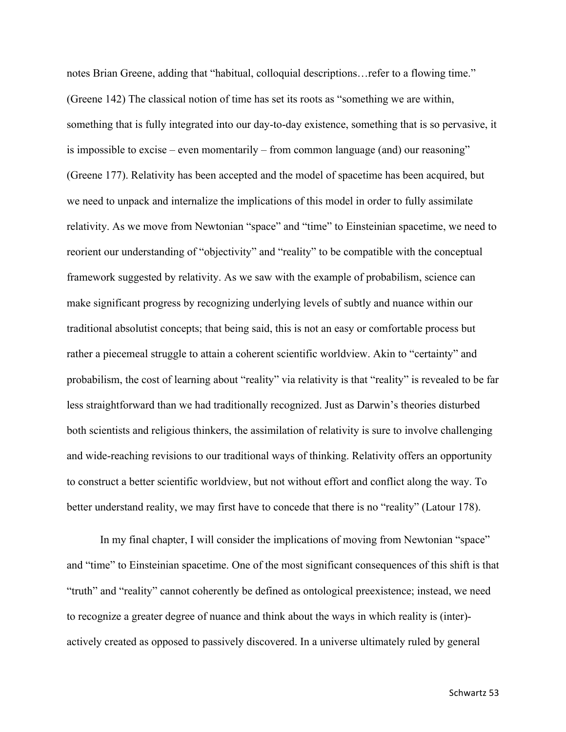notes Brian Greene, adding that "habitual, colloquial descriptions…refer to a flowing time." (Greene 142) The classical notion of time has set its roots as "something we are within, something that is fully integrated into our day-to-day existence, something that is so pervasive, it is impossible to excise – even momentarily – from common language (and) our reasoning" (Greene 177). Relativity has been accepted and the model of spacetime has been acquired, but we need to unpack and internalize the implications of this model in order to fully assimilate relativity. As we move from Newtonian "space" and "time" to Einsteinian spacetime, we need to reorient our understanding of "objectivity" and "reality" to be compatible with the conceptual framework suggested by relativity. As we saw with the example of probabilism, science can make significant progress by recognizing underlying levels of subtly and nuance within our traditional absolutist concepts; that being said, this is not an easy or comfortable process but rather a piecemeal struggle to attain a coherent scientific worldview. Akin to "certainty" and probabilism, the cost of learning about "reality" via relativity is that "reality" is revealed to be far less straightforward than we had traditionally recognized. Just as Darwin's theories disturbed both scientists and religious thinkers, the assimilation of relativity is sure to involve challenging and wide-reaching revisions to our traditional ways of thinking. Relativity offers an opportunity to construct a better scientific worldview, but not without effort and conflict along the way. To better understand reality, we may first have to concede that there is no "reality" (Latour 178).

In my final chapter, I will consider the implications of moving from Newtonian "space" and "time" to Einsteinian spacetime. One of the most significant consequences of this shift is that "truth" and "reality" cannot coherently be defined as ontological preexistence; instead, we need to recognize a greater degree of nuance and think about the ways in which reality is (inter) actively created as opposed to passively discovered. In a universe ultimately ruled by general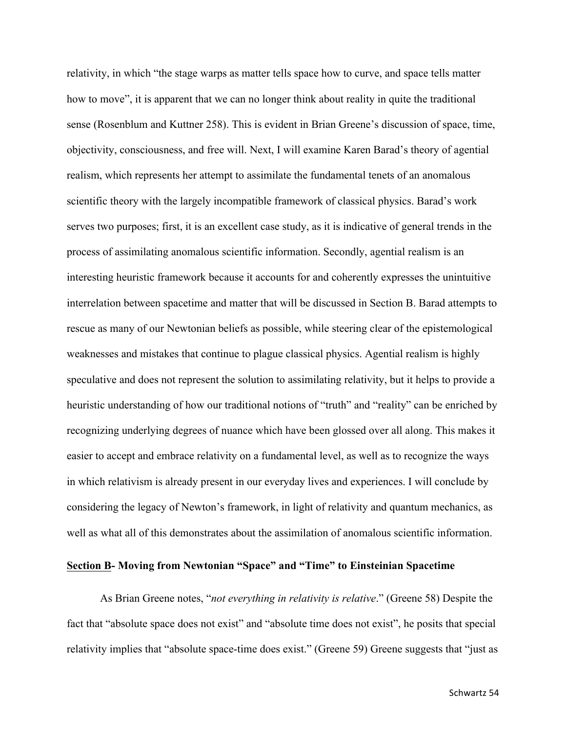relativity, in which "the stage warps as matter tells space how to curve, and space tells matter how to move", it is apparent that we can no longer think about reality in quite the traditional sense (Rosenblum and Kuttner 258). This is evident in Brian Greene's discussion of space, time, objectivity, consciousness, and free will. Next, I will examine Karen Barad's theory of agential realism, which represents her attempt to assimilate the fundamental tenets of an anomalous scientific theory with the largely incompatible framework of classical physics. Barad's work serves two purposes; first, it is an excellent case study, as it is indicative of general trends in the process of assimilating anomalous scientific information. Secondly, agential realism is an interesting heuristic framework because it accounts for and coherently expresses the unintuitive interrelation between spacetime and matter that will be discussed in Section B. Barad attempts to rescue as many of our Newtonian beliefs as possible, while steering clear of the epistemological weaknesses and mistakes that continue to plague classical physics. Agential realism is highly speculative and does not represent the solution to assimilating relativity, but it helps to provide a heuristic understanding of how our traditional notions of "truth" and "reality" can be enriched by recognizing underlying degrees of nuance which have been glossed over all along. This makes it easier to accept and embrace relativity on a fundamental level, as well as to recognize the ways in which relativism is already present in our everyday lives and experiences. I will conclude by considering the legacy of Newton's framework, in light of relativity and quantum mechanics, as well as what all of this demonstrates about the assimilation of anomalous scientific information.

## **Section B- Moving from Newtonian "Space" and "Time" to Einsteinian Spacetime**

As Brian Greene notes, "*not everything in relativity is relative*." (Greene 58) Despite the fact that "absolute space does not exist" and "absolute time does not exist", he posits that special relativity implies that "absolute space-time does exist." (Greene 59) Greene suggests that "just as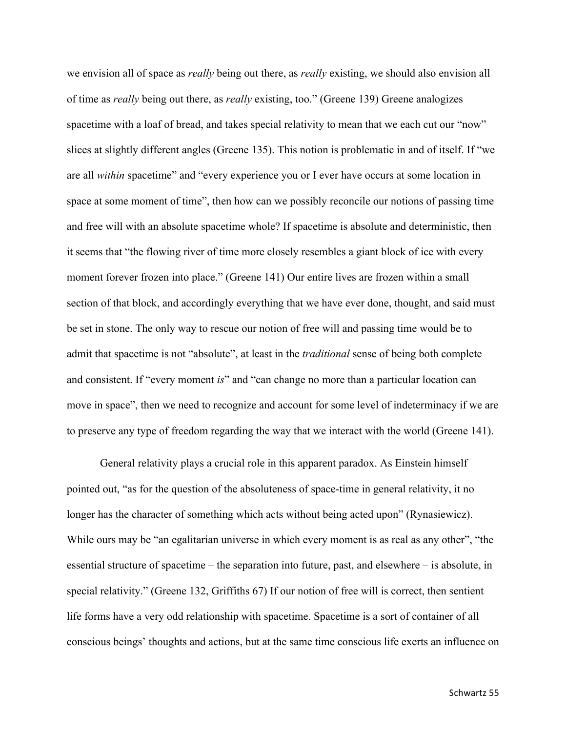we envision all of space as *really* being out there, as *really* existing, we should also envision all of time as *really* being out there, as *really* existing, too." (Greene 139) Greene analogizes spacetime with a loaf of bread, and takes special relativity to mean that we each cut our "now" slices at slightly different angles (Greene 135). This notion is problematic in and of itself. If "we are all *within* spacetime" and "every experience you or I ever have occurs at some location in space at some moment of time", then how can we possibly reconcile our notions of passing time and free will with an absolute spacetime whole? If spacetime is absolute and deterministic, then it seems that "the flowing river of time more closely resembles a giant block of ice with every moment forever frozen into place." (Greene 141) Our entire lives are frozen within a small section of that block, and accordingly everything that we have ever done, thought, and said must be set in stone. The only way to rescue our notion of free will and passing time would be to admit that spacetime is not "absolute", at least in the *traditional* sense of being both complete and consistent. If "every moment *is*" and "can change no more than a particular location can move in space", then we need to recognize and account for some level of indeterminacy if we are to preserve any type of freedom regarding the way that we interact with the world (Greene 141).

General relativity plays a crucial role in this apparent paradox. As Einstein himself pointed out, "as for the question of the absoluteness of space-time in general relativity, it no longer has the character of something which acts without being acted upon" (Rynasiewicz). While ours may be "an egalitarian universe in which every moment is as real as any other", "the essential structure of spacetime – the separation into future, past, and elsewhere – is absolute, in special relativity." (Greene 132, Griffiths 67) If our notion of free will is correct, then sentient life forms have a very odd relationship with spacetime. Spacetime is a sort of container of all conscious beings' thoughts and actions, but at the same time conscious life exerts an influence on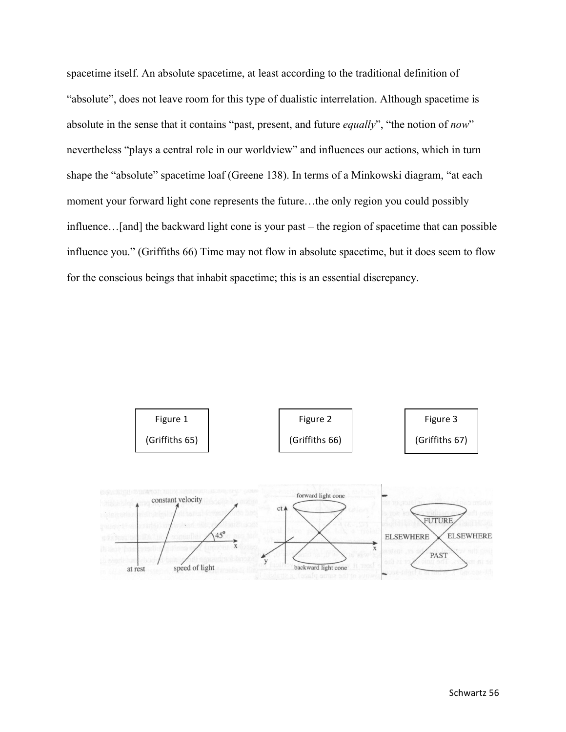spacetime itself. An absolute spacetime, at least according to the traditional definition of "absolute", does not leave room for this type of dualistic interrelation. Although spacetime is absolute in the sense that it contains "past, present, and future *equally*", "the notion of *now*" nevertheless "plays a central role in our worldview" and influences our actions, which in turn shape the "absolute" spacetime loaf (Greene 138). In terms of a Minkowski diagram, "at each moment your forward light cone represents the future…the only region you could possibly influence…[and] the backward light cone is your past – the region of spacetime that can possible influence you." (Griffiths 66) Time may not flow in absolute spacetime, but it does seem to flow for the conscious beings that inhabit spacetime; this is an essential discrepancy.

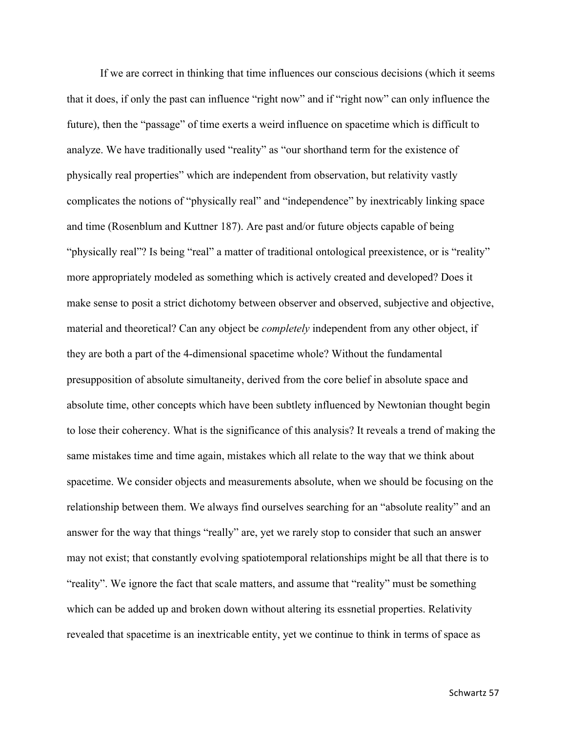If we are correct in thinking that time influences our conscious decisions (which it seems that it does, if only the past can influence "right now" and if "right now" can only influence the future), then the "passage" of time exerts a weird influence on spacetime which is difficult to analyze. We have traditionally used "reality" as "our shorthand term for the existence of physically real properties" which are independent from observation, but relativity vastly complicates the notions of "physically real" and "independence" by inextricably linking space and time (Rosenblum and Kuttner 187). Are past and/or future objects capable of being "physically real"? Is being "real" a matter of traditional ontological preexistence, or is "reality" more appropriately modeled as something which is actively created and developed? Does it make sense to posit a strict dichotomy between observer and observed, subjective and objective, material and theoretical? Can any object be *completely* independent from any other object, if they are both a part of the 4-dimensional spacetime whole? Without the fundamental presupposition of absolute simultaneity, derived from the core belief in absolute space and absolute time, other concepts which have been subtlety influenced by Newtonian thought begin to lose their coherency. What is the significance of this analysis? It reveals a trend of making the same mistakes time and time again, mistakes which all relate to the way that we think about spacetime. We consider objects and measurements absolute, when we should be focusing on the relationship between them. We always find ourselves searching for an "absolute reality" and an answer for the way that things "really" are, yet we rarely stop to consider that such an answer may not exist; that constantly evolving spatiotemporal relationships might be all that there is to "reality". We ignore the fact that scale matters, and assume that "reality" must be something which can be added up and broken down without altering its essnetial properties. Relativity revealed that spacetime is an inextricable entity, yet we continue to think in terms of space as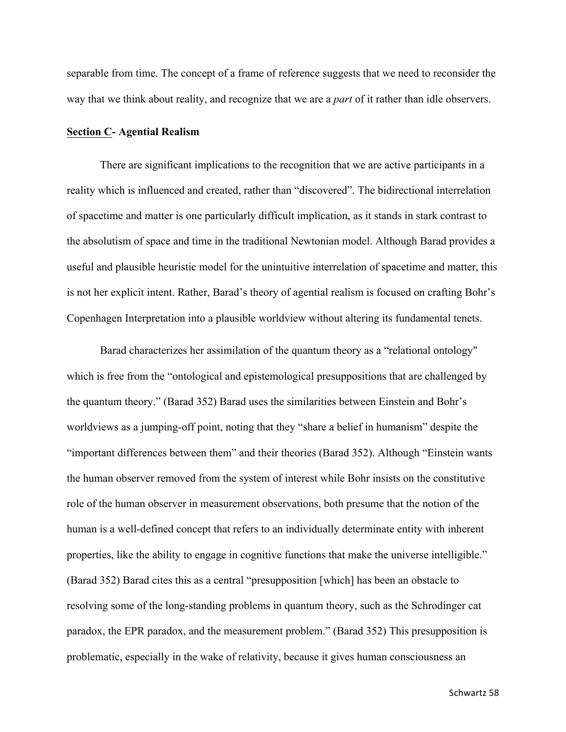separable from time. The concept of a frame of reference suggests that we need to reconsider the way that we think about reality, and recognize that we are a *part* of it rather than idle observers.

#### **Section C- Agential Realism**

There are significant implications to the recognition that we are active participants in a reality which is influenced and created, rather than "discovered". The bidirectional interrelation of spacetime and matter is one particularly difficult implication, as it stands in stark contrast to the absolutism of space and time in the traditional Newtonian model. Although Barad provides a useful and plausible heuristic model for the unintuitive interrelation of spacetime and matter, this is not her explicit intent. Rather, Barad's theory of agential realism is focused on crafting Bohr's Copenhagen Interpretation into a plausible worldview without altering its fundamental tenets.

Barad characterizes her assimilation of the quantum theory as a "relational ontology" which is free from the "ontological and epistemological presuppositions that are challenged by the quantum theory." (Barad 352) Barad uses the similarities between Einstein and Bohr's worldviews as a jumping-off point, noting that they "share a belief in humanism" despite the "important differences between them" and their theories (Barad 352). Although "Einstein wants the human observer removed from the system of interest while Bohr insists on the constitutive role of the human observer in measurement observations, both presume that the notion of the human is a well-defined concept that refers to an individually determinate entity with inherent properties, like the ability to engage in cognitive functions that make the universe intelligible." (Barad 352) Barad cites this as a central "presupposition [which] has been an obstacle to resolving some of the long-standing problems in quantum theory, such as the Schrodinger cat paradox, the EPR paradox, and the measurement problem." (Barad 352) This presupposition is problematic, especially in the wake of relativity, because it gives human consciousness an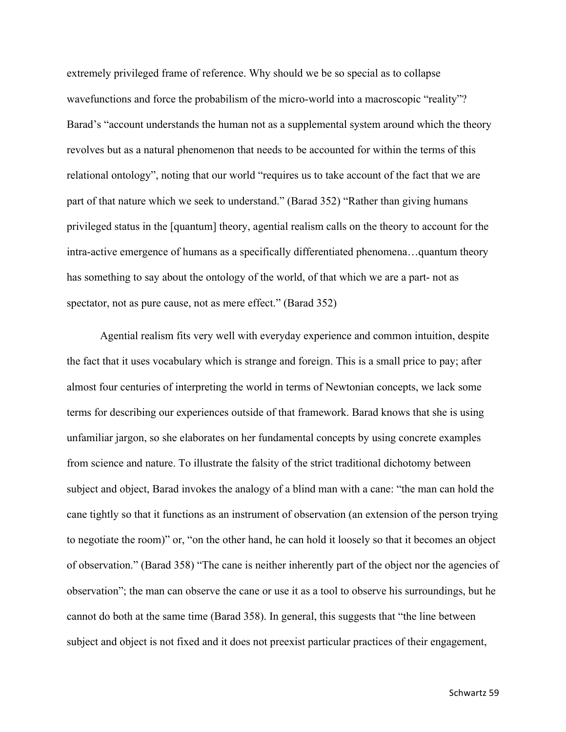extremely privileged frame of reference. Why should we be so special as to collapse wavefunctions and force the probabilism of the micro-world into a macroscopic "reality"? Barad's "account understands the human not as a supplemental system around which the theory revolves but as a natural phenomenon that needs to be accounted for within the terms of this relational ontology", noting that our world "requires us to take account of the fact that we are part of that nature which we seek to understand." (Barad 352) "Rather than giving humans privileged status in the [quantum] theory, agential realism calls on the theory to account for the intra-active emergence of humans as a specifically differentiated phenomena…quantum theory has something to say about the ontology of the world, of that which we are a part- not as spectator, not as pure cause, not as mere effect." (Barad 352)

Agential realism fits very well with everyday experience and common intuition, despite the fact that it uses vocabulary which is strange and foreign. This is a small price to pay; after almost four centuries of interpreting the world in terms of Newtonian concepts, we lack some terms for describing our experiences outside of that framework. Barad knows that she is using unfamiliar jargon, so she elaborates on her fundamental concepts by using concrete examples from science and nature. To illustrate the falsity of the strict traditional dichotomy between subject and object, Barad invokes the analogy of a blind man with a cane: "the man can hold the cane tightly so that it functions as an instrument of observation (an extension of the person trying to negotiate the room)" or, "on the other hand, he can hold it loosely so that it becomes an object of observation." (Barad 358) "The cane is neither inherently part of the object nor the agencies of observation"; the man can observe the cane or use it as a tool to observe his surroundings, but he cannot do both at the same time (Barad 358). In general, this suggests that "the line between subject and object is not fixed and it does not preexist particular practices of their engagement,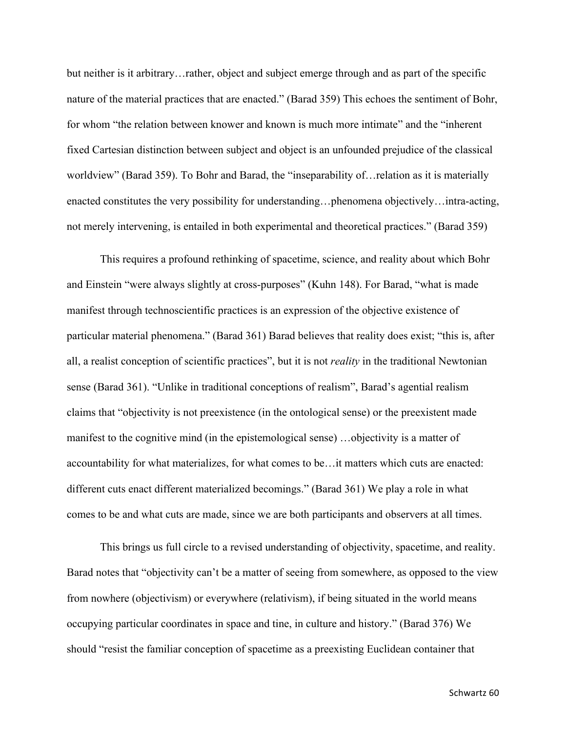but neither is it arbitrary…rather, object and subject emerge through and as part of the specific nature of the material practices that are enacted." (Barad 359) This echoes the sentiment of Bohr, for whom "the relation between knower and known is much more intimate" and the "inherent fixed Cartesian distinction between subject and object is an unfounded prejudice of the classical worldview" (Barad 359). To Bohr and Barad, the "inseparability of…relation as it is materially enacted constitutes the very possibility for understanding…phenomena objectively…intra-acting, not merely intervening, is entailed in both experimental and theoretical practices." (Barad 359)

This requires a profound rethinking of spacetime, science, and reality about which Bohr and Einstein "were always slightly at cross-purposes" (Kuhn 148). For Barad, "what is made manifest through technoscientific practices is an expression of the objective existence of particular material phenomena." (Barad 361) Barad believes that reality does exist; "this is, after all, a realist conception of scientific practices", but it is not *reality* in the traditional Newtonian sense (Barad 361). "Unlike in traditional conceptions of realism", Barad's agential realism claims that "objectivity is not preexistence (in the ontological sense) or the preexistent made manifest to the cognitive mind (in the epistemological sense) …objectivity is a matter of accountability for what materializes, for what comes to be…it matters which cuts are enacted: different cuts enact different materialized becomings." (Barad 361) We play a role in what comes to be and what cuts are made, since we are both participants and observers at all times.

This brings us full circle to a revised understanding of objectivity, spacetime, and reality. Barad notes that "objectivity can't be a matter of seeing from somewhere, as opposed to the view from nowhere (objectivism) or everywhere (relativism), if being situated in the world means occupying particular coordinates in space and tine, in culture and history." (Barad 376) We should "resist the familiar conception of spacetime as a preexisting Euclidean container that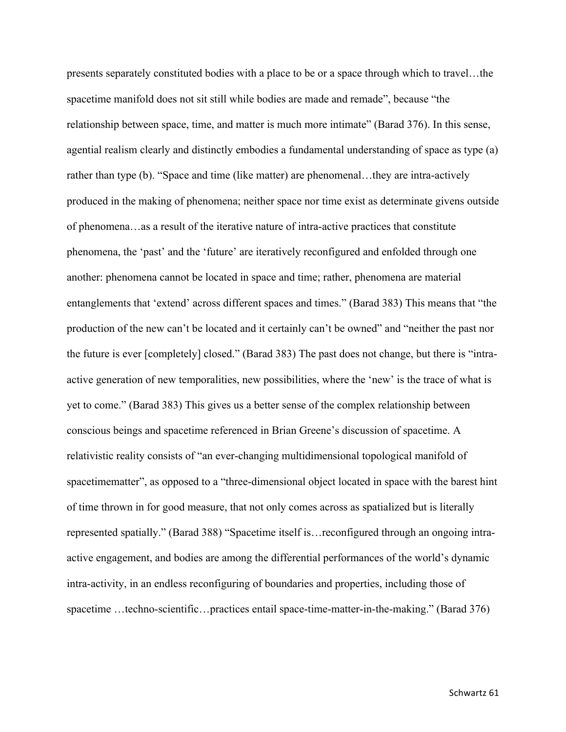presents separately constituted bodies with a place to be or a space through which to travel…the spacetime manifold does not sit still while bodies are made and remade", because "the relationship between space, time, and matter is much more intimate" (Barad 376). In this sense, agential realism clearly and distinctly embodies a fundamental understanding of space as type (a) rather than type (b). "Space and time (like matter) are phenomenal…they are intra-actively produced in the making of phenomena; neither space nor time exist as determinate givens outside of phenomena…as a result of the iterative nature of intra-active practices that constitute phenomena, the 'past' and the 'future' are iteratively reconfigured and enfolded through one another: phenomena cannot be located in space and time; rather, phenomena are material entanglements that 'extend' across different spaces and times." (Barad 383) This means that "the production of the new can't be located and it certainly can't be owned" and "neither the past nor the future is ever [completely] closed." (Barad 383) The past does not change, but there is "intraactive generation of new temporalities, new possibilities, where the 'new' is the trace of what is yet to come." (Barad 383) This gives us a better sense of the complex relationship between conscious beings and spacetime referenced in Brian Greene's discussion of spacetime. A relativistic reality consists of "an ever-changing multidimensional topological manifold of spacetimematter", as opposed to a "three-dimensional object located in space with the barest hint of time thrown in for good measure, that not only comes across as spatialized but is literally represented spatially." (Barad 388) "Spacetime itself is…reconfigured through an ongoing intraactive engagement, and bodies are among the differential performances of the world's dynamic intra-activity, in an endless reconfiguring of boundaries and properties, including those of spacetime …techno-scientific…practices entail space-time-matter-in-the-making." (Barad 376)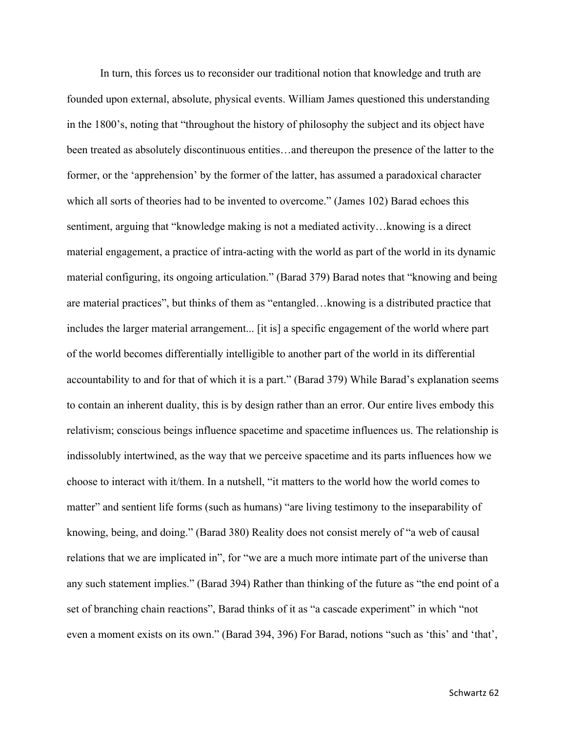In turn, this forces us to reconsider our traditional notion that knowledge and truth are founded upon external, absolute, physical events. William James questioned this understanding in the 1800's, noting that "throughout the history of philosophy the subject and its object have been treated as absolutely discontinuous entities…and thereupon the presence of the latter to the former, or the 'apprehension' by the former of the latter, has assumed a paradoxical character which all sorts of theories had to be invented to overcome." (James 102) Barad echoes this sentiment, arguing that "knowledge making is not a mediated activity…knowing is a direct material engagement, a practice of intra-acting with the world as part of the world in its dynamic material configuring, its ongoing articulation." (Barad 379) Barad notes that "knowing and being are material practices", but thinks of them as "entangled…knowing is a distributed practice that includes the larger material arrangement... [it is] a specific engagement of the world where part of the world becomes differentially intelligible to another part of the world in its differential accountability to and for that of which it is a part." (Barad 379) While Barad's explanation seems to contain an inherent duality, this is by design rather than an error. Our entire lives embody this relativism; conscious beings influence spacetime and spacetime influences us. The relationship is indissolubly intertwined, as the way that we perceive spacetime and its parts influences how we choose to interact with it/them. In a nutshell, "it matters to the world how the world comes to matter" and sentient life forms (such as humans) "are living testimony to the inseparability of knowing, being, and doing." (Barad 380) Reality does not consist merely of "a web of causal relations that we are implicated in", for "we are a much more intimate part of the universe than any such statement implies." (Barad 394) Rather than thinking of the future as "the end point of a set of branching chain reactions", Barad thinks of it as "a cascade experiment" in which "not even a moment exists on its own." (Barad 394, 396) For Barad, notions "such as 'this' and 'that',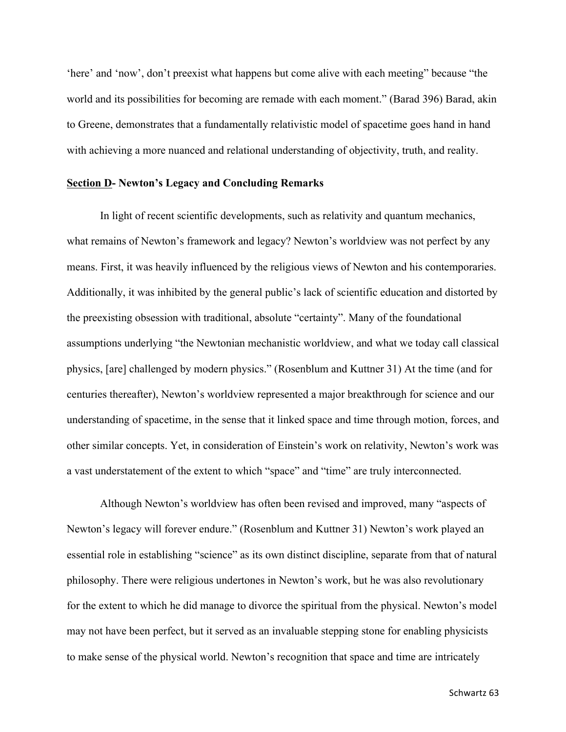'here' and 'now', don't preexist what happens but come alive with each meeting" because "the world and its possibilities for becoming are remade with each moment." (Barad 396) Barad, akin to Greene, demonstrates that a fundamentally relativistic model of spacetime goes hand in hand with achieving a more nuanced and relational understanding of objectivity, truth, and reality.

#### **Section D- Newton's Legacy and Concluding Remarks**

In light of recent scientific developments, such as relativity and quantum mechanics, what remains of Newton's framework and legacy? Newton's worldview was not perfect by any means. First, it was heavily influenced by the religious views of Newton and his contemporaries. Additionally, it was inhibited by the general public's lack of scientific education and distorted by the preexisting obsession with traditional, absolute "certainty". Many of the foundational assumptions underlying "the Newtonian mechanistic worldview, and what we today call classical physics, [are] challenged by modern physics." (Rosenblum and Kuttner 31) At the time (and for centuries thereafter), Newton's worldview represented a major breakthrough for science and our understanding of spacetime, in the sense that it linked space and time through motion, forces, and other similar concepts. Yet, in consideration of Einstein's work on relativity, Newton's work was a vast understatement of the extent to which "space" and "time" are truly interconnected.

Although Newton's worldview has often been revised and improved, many "aspects of Newton's legacy will forever endure." (Rosenblum and Kuttner 31) Newton's work played an essential role in establishing "science" as its own distinct discipline, separate from that of natural philosophy. There were religious undertones in Newton's work, but he was also revolutionary for the extent to which he did manage to divorce the spiritual from the physical. Newton's model may not have been perfect, but it served as an invaluable stepping stone for enabling physicists to make sense of the physical world. Newton's recognition that space and time are intricately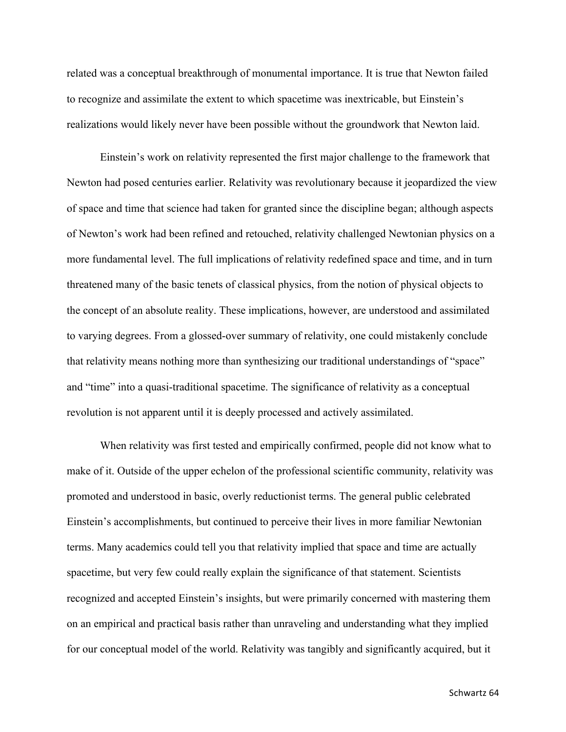related was a conceptual breakthrough of monumental importance. It is true that Newton failed to recognize and assimilate the extent to which spacetime was inextricable, but Einstein's realizations would likely never have been possible without the groundwork that Newton laid.

Einstein's work on relativity represented the first major challenge to the framework that Newton had posed centuries earlier. Relativity was revolutionary because it jeopardized the view of space and time that science had taken for granted since the discipline began; although aspects of Newton's work had been refined and retouched, relativity challenged Newtonian physics on a more fundamental level. The full implications of relativity redefined space and time, and in turn threatened many of the basic tenets of classical physics, from the notion of physical objects to the concept of an absolute reality. These implications, however, are understood and assimilated to varying degrees. From a glossed-over summary of relativity, one could mistakenly conclude that relativity means nothing more than synthesizing our traditional understandings of "space" and "time" into a quasi-traditional spacetime. The significance of relativity as a conceptual revolution is not apparent until it is deeply processed and actively assimilated.

When relativity was first tested and empirically confirmed, people did not know what to make of it. Outside of the upper echelon of the professional scientific community, relativity was promoted and understood in basic, overly reductionist terms. The general public celebrated Einstein's accomplishments, but continued to perceive their lives in more familiar Newtonian terms. Many academics could tell you that relativity implied that space and time are actually spacetime, but very few could really explain the significance of that statement. Scientists recognized and accepted Einstein's insights, but were primarily concerned with mastering them on an empirical and practical basis rather than unraveling and understanding what they implied for our conceptual model of the world. Relativity was tangibly and significantly acquired, but it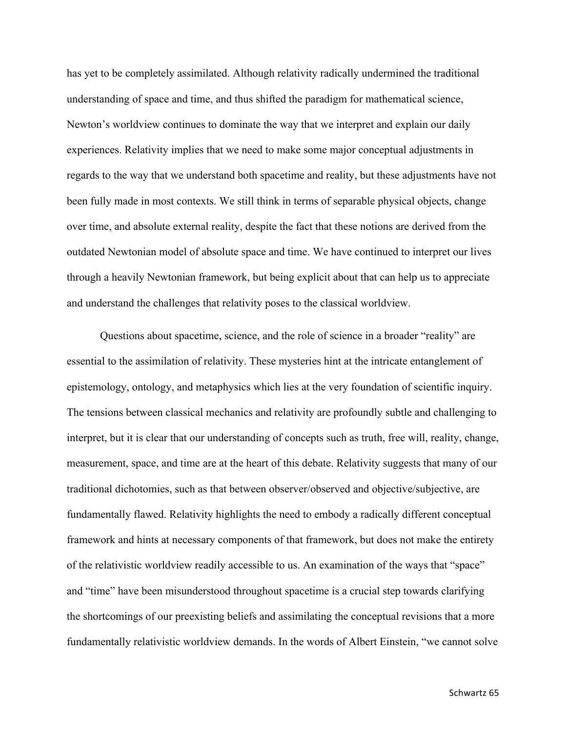has yet to be completely assimilated. Although relativity radically undermined the traditional understanding of space and time, and thus shifted the paradigm for mathematical science, Newton's worldview continues to dominate the way that we interpret and explain our daily experiences. Relativity implies that we need to make some major conceptual adjustments in regards to the way that we understand both spacetime and reality, but these adjustments have not been fully made in most contexts. We still think in terms of separable physical objects, change over time, and absolute external reality, despite the fact that these notions are derived from the outdated Newtonian model of absolute space and time. We have continued to interpret our lives through a heavily Newtonian framework, but being explicit about that can help us to appreciate and understand the challenges that relativity poses to the classical worldview.

Questions about spacetime, science, and the role of science in a broader "reality" are essential to the assimilation of relativity. These mysteries hint at the intricate entanglement of epistemology, ontology, and metaphysics which lies at the very foundation of scientific inquiry. The tensions between classical mechanics and relativity are profoundly subtle and challenging to interpret, but it is clear that our understanding of concepts such as truth, free will, reality, change, measurement, space, and time are at the heart of this debate. Relativity suggests that many of our traditional dichotomies, such as that between observer/observed and objective/subjective, are fundamentally flawed. Relativity highlights the need to embody a radically different conceptual framework and hints at necessary components of that framework, but does not make the entirety of the relativistic worldview readily accessible to us. An examination of the ways that "space" and "time" have been misunderstood throughout spacetime is a crucial step towards clarifying the shortcomings of our preexisting beliefs and assimilating the conceptual revisions that a more fundamentally relativistic worldview demands. In the words of Albert Einstein, "we cannot solve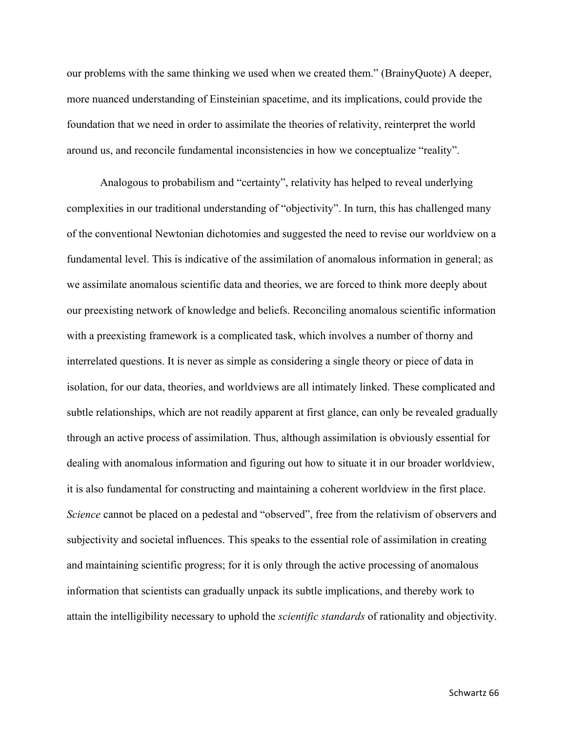our problems with the same thinking we used when we created them." (BrainyQuote) A deeper, more nuanced understanding of Einsteinian spacetime, and its implications, could provide the foundation that we need in order to assimilate the theories of relativity, reinterpret the world around us, and reconcile fundamental inconsistencies in how we conceptualize "reality".

Analogous to probabilism and "certainty", relativity has helped to reveal underlying complexities in our traditional understanding of "objectivity". In turn, this has challenged many of the conventional Newtonian dichotomies and suggested the need to revise our worldview on a fundamental level. This is indicative of the assimilation of anomalous information in general; as we assimilate anomalous scientific data and theories, we are forced to think more deeply about our preexisting network of knowledge and beliefs. Reconciling anomalous scientific information with a preexisting framework is a complicated task, which involves a number of thorny and interrelated questions. It is never as simple as considering a single theory or piece of data in isolation, for our data, theories, and worldviews are all intimately linked. These complicated and subtle relationships, which are not readily apparent at first glance, can only be revealed gradually through an active process of assimilation. Thus, although assimilation is obviously essential for dealing with anomalous information and figuring out how to situate it in our broader worldview, it is also fundamental for constructing and maintaining a coherent worldview in the first place. *Science* cannot be placed on a pedestal and "observed", free from the relativism of observers and subjectivity and societal influences. This speaks to the essential role of assimilation in creating and maintaining scientific progress; for it is only through the active processing of anomalous information that scientists can gradually unpack its subtle implications, and thereby work to attain the intelligibility necessary to uphold the *scientific standards* of rationality and objectivity.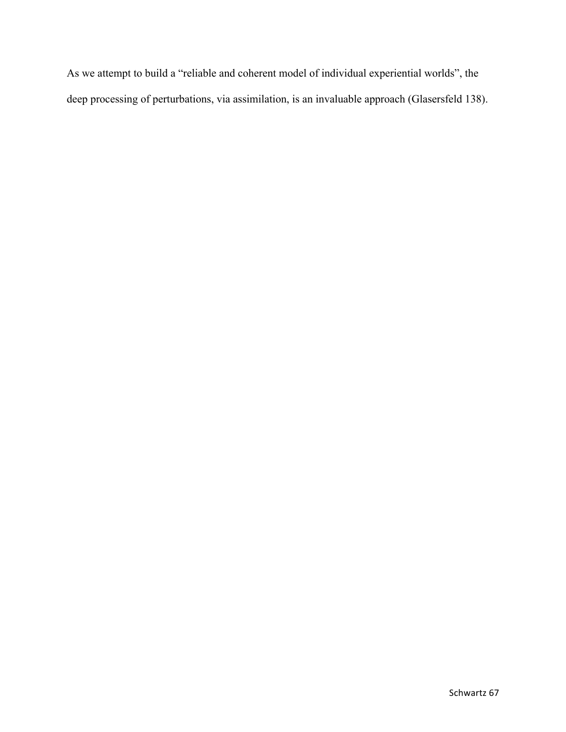As we attempt to build a "reliable and coherent model of individual experiential worlds", the deep processing of perturbations, via assimilation, is an invaluable approach (Glasersfeld 138).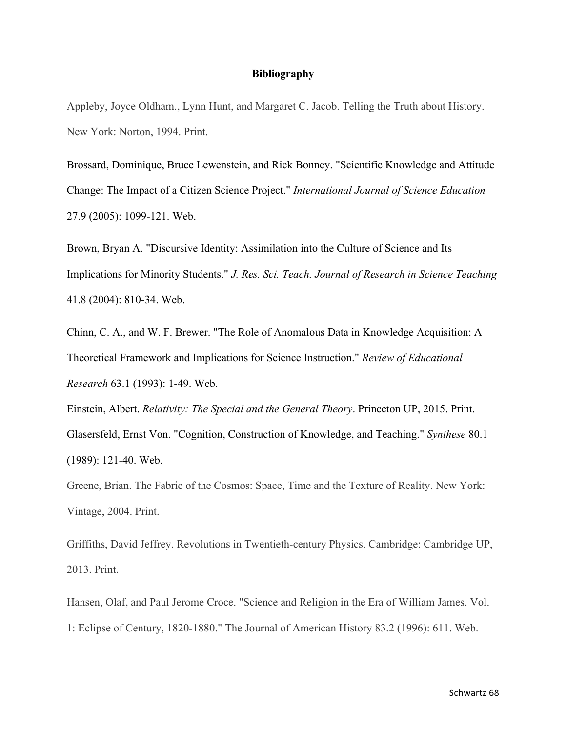### **Bibliography**

Appleby, Joyce Oldham., Lynn Hunt, and Margaret C. Jacob. Telling the Truth about History. New York: Norton, 1994. Print.

Brossard, Dominique, Bruce Lewenstein, and Rick Bonney. "Scientific Knowledge and Attitude Change: The Impact of a Citizen Science Project." *International Journal of Science Education* 27.9 (2005): 1099-121. Web.

Brown, Bryan A. "Discursive Identity: Assimilation into the Culture of Science and Its Implications for Minority Students." *J. Res. Sci. Teach. Journal of Research in Science Teaching* 41.8 (2004): 810-34. Web.

Chinn, C. A., and W. F. Brewer. "The Role of Anomalous Data in Knowledge Acquisition: A Theoretical Framework and Implications for Science Instruction." *Review of Educational Research* 63.1 (1993): 1-49. Web.

Einstein, Albert. *Relativity: The Special and the General Theory*. Princeton UP, 2015. Print. Glasersfeld, Ernst Von. "Cognition, Construction of Knowledge, and Teaching." *Synthese* 80.1 (1989): 121-40. Web.

Greene, Brian. The Fabric of the Cosmos: Space, Time and the Texture of Reality. New York: Vintage, 2004. Print.

Griffiths, David Jeffrey. Revolutions in Twentieth-century Physics. Cambridge: Cambridge UP, 2013. Print.

Hansen, Olaf, and Paul Jerome Croce. "Science and Religion in the Era of William James. Vol. 1: Eclipse of Century, 1820-1880." The Journal of American History 83.2 (1996): 611. Web.